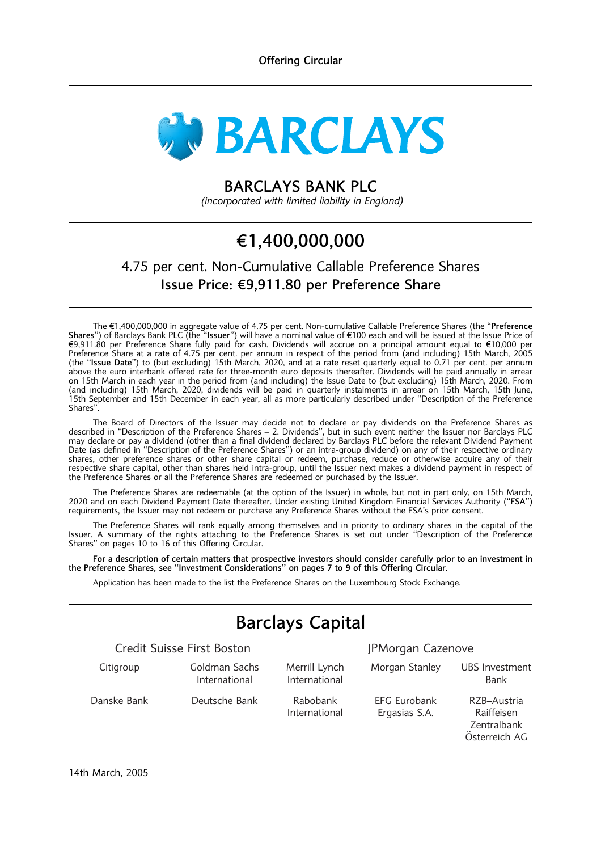

## BARCLAYS BANK PLC

(incorporated with limited liability in England)

# g1,400,000,000

## 4.75 per cent. Non-Cumulative Callable Preference Shares Issue Price: €9,911.80 per Preference Share

The €1,400,000,000 in aggregate value of 4.75 per cent. Non-cumulative Callable Preference Shares (the "Preference Shares'') of Barclays Bank PLC (the "Issuer'') will have a nominal value of €100 each and will be issued at the Issue Price of €9,911.80 per Preference Share fully paid for cash. Dividends will accrue on a principal amount equal to €10,000 per Preference Share at a rate of 4.75 per cent. per annum in respect of the period from (and including) 15th March, 2005 (the ''Issue Date'') to (but excluding) 15th March, 2020, and at a rate reset quarterly equal to 0.71 per cent. per annum above the euro interbank offered rate for three-month euro deposits thereafter. Dividends will be paid annually in arrear on 15th March in each year in the period from (and including) the Issue Date to (but excluding) 15th March, 2020. From (and including) 15th March, 2020, dividends will be paid in quarterly instalments in arrear on 15th March, 15th June, 15th September and 15th December in each year, all as more particularly described under ''Description of the Preference Shares''.

The Board of Directors of the Issuer may decide not to declare or pay dividends on the Preference Shares as described in ''Description of the Preference Shares – 2. Dividends'', but in such event neither the Issuer nor Barclays PLC may declare or pay a dividend (other than a final dividend declared by Barclays PLC before the relevant Dividend Payment Date (as defined in ''Description of the Preference Shares'') or an intra-group dividend) on any of their respective ordinary shares, other preference shares or other share capital or redeem, purchase, reduce or otherwise acquire any of their respective share capital, other than shares held intra-group, until the Issuer next makes a dividend payment in respect of the Preference Shares or all the Preference Shares are redeemed or purchased by the Issuer.

The Preference Shares are redeemable (at the option of the Issuer) in whole, but not in part only, on 15th March, 2020 and on each Dividend Payment Date thereafter. Under existing United Kingdom Financial Services Authority (''FSA'') requirements, the Issuer may not redeem or purchase any Preference Shares without the FSA's prior consent.

The Preference Shares will rank equally among themselves and in priority to ordinary shares in the capital of the Issuer. A summary of the rights attaching to the Preference Shares is set out under ''Description of the Preference Shares'' on pages 10 to 16 of this Offering Circular.

For a description of certain matters that prospective investors should consider carefully prior to an investment in the Preference Shares, see ''Investment Considerations'' on pages 7 to 9 of this Offering Circular.

Application has been made to the list the Preference Shares on the Luxembourg Stock Exchange.

# Barclays Capital

Credit Suisse First Boston JPMorgan Cazenove

Citigroup Goldman Sachs

International

Merrill Lynch International

Danske Bank Deutsche Bank Rabobank International

Morgan Stanley UBS Investment Bank

EFG Eurobank Ergasias S.A.

RZB–Austria Raiffeisen Zentralbank Österreich AG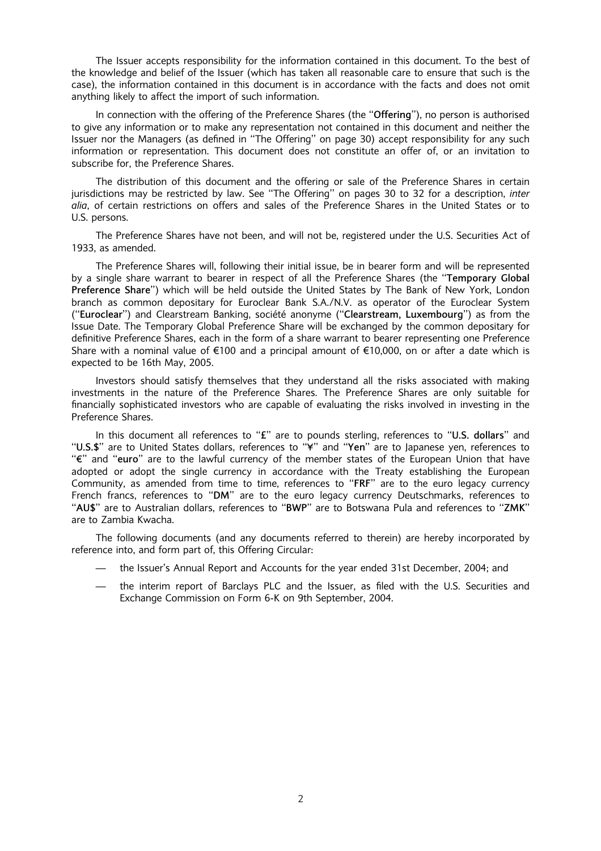The Issuer accepts responsibility for the information contained in this document. To the best of the knowledge and belief of the Issuer (which has taken all reasonable care to ensure that such is the case), the information contained in this document is in accordance with the facts and does not omit anything likely to affect the import of such information.

In connection with the offering of the Preference Shares (the ''Offering''), no person is authorised to give any information or to make any representation not contained in this document and neither the Issuer nor the Managers (as defined in ''The Offering'' on page 30) accept responsibility for any such information or representation. This document does not constitute an offer of, or an invitation to subscribe for, the Preference Shares.

The distribution of this document and the offering or sale of the Preference Shares in certain jurisdictions may be restricted by law. See "The Offering" on pages 30 to 32 for a description, inter alia, of certain restrictions on offers and sales of the Preference Shares in the United States or to U.S. persons.

The Preference Shares have not been, and will not be, registered under the U.S. Securities Act of 1933, as amended.

The Preference Shares will, following their initial issue, be in bearer form and will be represented by a single share warrant to bearer in respect of all the Preference Shares (the ''Temporary Global Preference Share'') which will be held outside the United States by The Bank of New York, London branch as common depositary for Euroclear Bank S.A./N.V. as operator of the Euroclear System ("Euroclear") and Clearstream Banking, société anonyme ("Clearstream, Luxembourg") as from the Issue Date. The Temporary Global Preference Share will be exchanged by the common depositary for definitive Preference Shares, each in the form of a share warrant to bearer representing one Preference Share with a nominal value of  $\epsilon$ 100 and a principal amount of  $\epsilon$ 10,000, on or after a date which is expected to be 16th May, 2005.

Investors should satisfy themselves that they understand all the risks associated with making investments in the nature of the Preference Shares. The Preference Shares are only suitable for financially sophisticated investors who are capable of evaluating the risks involved in investing in the Preference Shares.

In this document all references to "£" are to pounds sterling, references to "U.S. dollars" and "U.S.\$" are to United States dollars, references to "\" and "Yen" are to Japanese yen, references to ''g'' and ''euro'' are to the lawful currency of the member states of the European Union that have adopted or adopt the single currency in accordance with the Treaty establishing the European Community, as amended from time to time, references to "FRF" are to the euro legacy currency French francs, references to ''DM'' are to the euro legacy currency Deutschmarks, references to ''AU\$'' are to Australian dollars, references to ''BWP'' are to Botswana Pula and references to ''ZMK'' are to Zambia Kwacha.

The following documents (and any documents referred to therein) are hereby incorporated by reference into, and form part of, this Offering Circular:

- the Issuer's Annual Report and Accounts for the year ended 31st December, 2004; and
- the interim report of Barclays PLC and the Issuer, as filed with the U.S. Securities and Exchange Commission on Form 6-K on 9th September, 2004.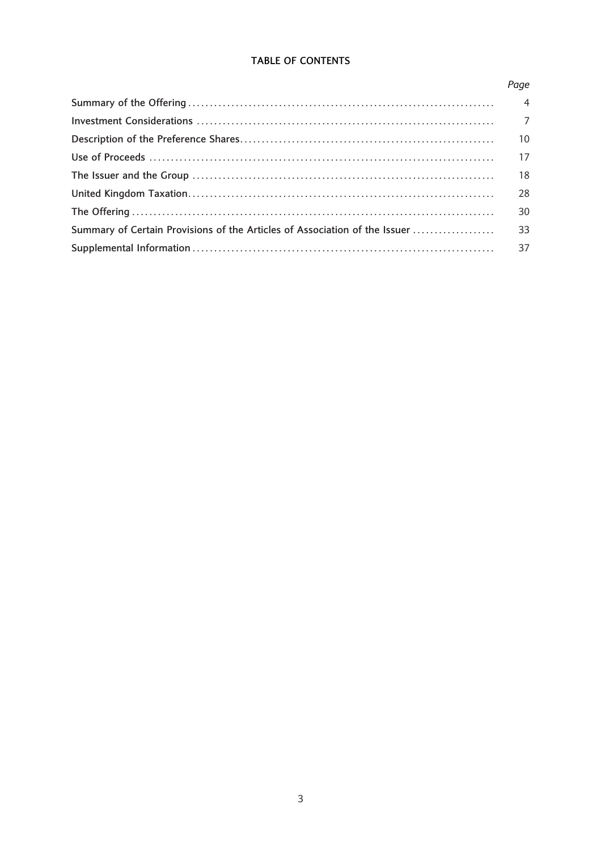## TABLE OF CONTENTS

| Page           |
|----------------|
| $\overline{4}$ |
| $\overline{7}$ |
| 10             |
| 17             |
| 18             |
| 28             |
| 30             |
| 33             |
| 37             |
|                |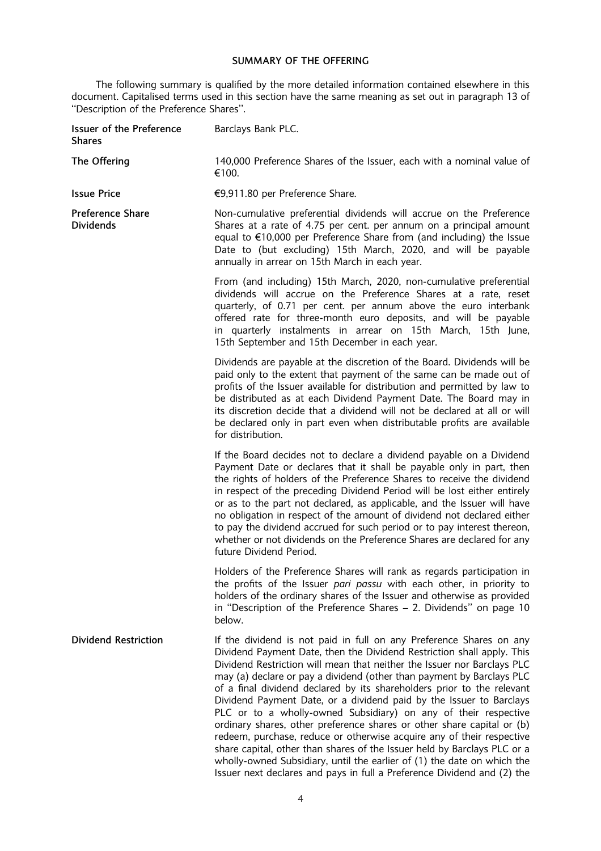## SUMMARY OF THE OFFERING

The following summary is qualified by the more detailed information contained elsewhere in this document. Capitalised terms used in this section have the same meaning as set out in paragraph 13 of ''Description of the Preference Shares''.

| Issuer of the Preference<br><b>Shares</b>   | Barclays Bank PLC.                                                                                                                                                                                                                                                                                                                                                                                                                                                                                                                                                                                                                                                                                                                                                                                                                                                                                         |
|---------------------------------------------|------------------------------------------------------------------------------------------------------------------------------------------------------------------------------------------------------------------------------------------------------------------------------------------------------------------------------------------------------------------------------------------------------------------------------------------------------------------------------------------------------------------------------------------------------------------------------------------------------------------------------------------------------------------------------------------------------------------------------------------------------------------------------------------------------------------------------------------------------------------------------------------------------------|
| The Offering                                | 140,000 Preference Shares of the Issuer, each with a nominal value of<br>€100.                                                                                                                                                                                                                                                                                                                                                                                                                                                                                                                                                                                                                                                                                                                                                                                                                             |
| <b>Issue Price</b>                          | €9,911.80 per Preference Share.                                                                                                                                                                                                                                                                                                                                                                                                                                                                                                                                                                                                                                                                                                                                                                                                                                                                            |
| <b>Preference Share</b><br><b>Dividends</b> | Non-cumulative preferential dividends will accrue on the Preference<br>Shares at a rate of 4.75 per cent. per annum on a principal amount<br>equal to €10,000 per Preference Share from (and including) the Issue<br>Date to (but excluding) 15th March, 2020, and will be payable<br>annually in arrear on 15th March in each year.                                                                                                                                                                                                                                                                                                                                                                                                                                                                                                                                                                       |
|                                             | From (and including) 15th March, 2020, non-cumulative preferential<br>dividends will accrue on the Preference Shares at a rate, reset<br>quarterly, of 0.71 per cent. per annum above the euro interbank<br>offered rate for three-month euro deposits, and will be payable<br>in quarterly instalments in arrear on 15th March, 15th June,<br>15th September and 15th December in each year.                                                                                                                                                                                                                                                                                                                                                                                                                                                                                                              |
|                                             | Dividends are payable at the discretion of the Board. Dividends will be<br>paid only to the extent that payment of the same can be made out of<br>profits of the Issuer available for distribution and permitted by law to<br>be distributed as at each Dividend Payment Date. The Board may in<br>its discretion decide that a dividend will not be declared at all or will<br>be declared only in part even when distributable profits are available<br>for distribution.                                                                                                                                                                                                                                                                                                                                                                                                                                |
|                                             | If the Board decides not to declare a dividend payable on a Dividend<br>Payment Date or declares that it shall be payable only in part, then<br>the rights of holders of the Preference Shares to receive the dividend<br>in respect of the preceding Dividend Period will be lost either entirely<br>or as to the part not declared, as applicable, and the Issuer will have<br>no obligation in respect of the amount of dividend not declared either<br>to pay the dividend accrued for such period or to pay interest thereon,<br>whether or not dividends on the Preference Shares are declared for any<br>future Dividend Period.                                                                                                                                                                                                                                                                    |
|                                             | Holders of the Preference Shares will rank as regards participation in<br>the profits of the Issuer pari passu with each other, in priority to<br>holders of the ordinary shares of the Issuer and otherwise as provided<br>in "Description of the Preference Shares $-$ 2. Dividends" on page 10<br>below.                                                                                                                                                                                                                                                                                                                                                                                                                                                                                                                                                                                                |
| <b>Dividend Restriction</b>                 | If the dividend is not paid in full on any Preference Shares on any<br>Dividend Payment Date, then the Dividend Restriction shall apply. This<br>Dividend Restriction will mean that neither the Issuer nor Barclays PLC<br>may (a) declare or pay a dividend (other than payment by Barclays PLC<br>of a final dividend declared by its shareholders prior to the relevant<br>Dividend Payment Date, or a dividend paid by the Issuer to Barclays<br>PLC or to a wholly-owned Subsidiary) on any of their respective<br>ordinary shares, other preference shares or other share capital or (b)<br>redeem, purchase, reduce or otherwise acquire any of their respective<br>share capital, other than shares of the Issuer held by Barclays PLC or a<br>wholly-owned Subsidiary, until the earlier of (1) the date on which the<br>Issuer next declares and pays in full a Preference Dividend and (2) the |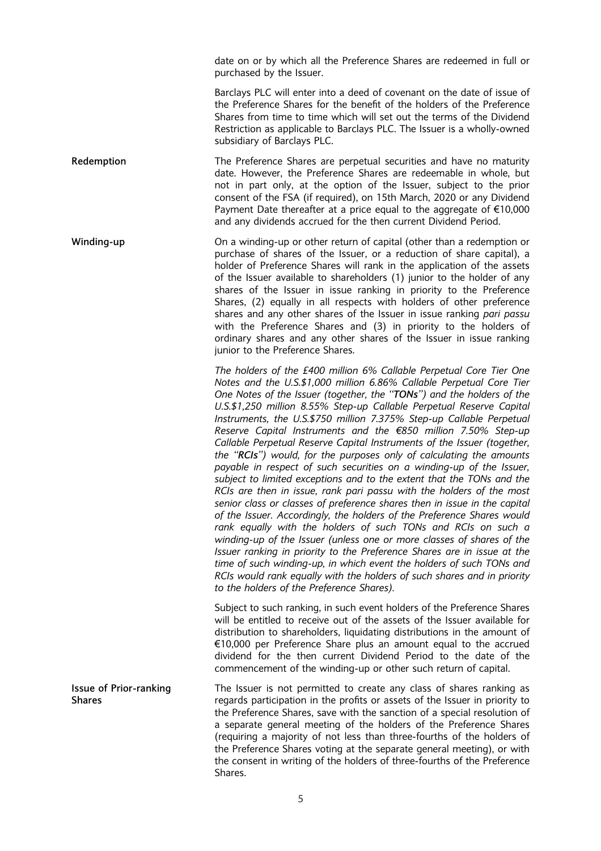date on or by which all the Preference Shares are redeemed in full or purchased by the Issuer.

Barclays PLC will enter into a deed of covenant on the date of issue of the Preference Shares for the benefit of the holders of the Preference Shares from time to time which will set out the terms of the Dividend Restriction as applicable to Barclays PLC. The Issuer is a wholly-owned subsidiary of Barclays PLC.

Redemption The Preference Shares are perpetual securities and have no maturity date. However, the Preference Shares are redeemable in whole, but not in part only, at the option of the Issuer, subject to the prior consent of the FSA (if required), on 15th March, 2020 or any Dividend Payment Date thereafter at a price equal to the aggregate of  $\epsilon$ 10,000 and any dividends accrued for the then current Dividend Period.

Winding-up On a winding-up or other return of capital (other than a redemption or purchase of shares of the Issuer, or a reduction of share capital), a holder of Preference Shares will rank in the application of the assets of the Issuer available to shareholders (1) junior to the holder of any shares of the Issuer in issue ranking in priority to the Preference Shares, (2) equally in all respects with holders of other preference shares and any other shares of the Issuer in issue ranking pari passu with the Preference Shares and (3) in priority to the holders of ordinary shares and any other shares of the Issuer in issue ranking junior to the Preference Shares.

> The holders of the £400 million 6% Callable Perpetual Core Tier One Notes and the U.S.\$1,000 million 6.86% Callable Perpetual Core Tier One Notes of the Issuer (together, the ''TONs'') and the holders of the U.S.\$1,250 million 8.55% Step-up Callable Perpetual Reserve Capital Instruments, the U.S.\$750 million 7.375% Step-up Callable Perpetual Reserve Capital Instruments and the  $\epsilon$ 850 million 7.50% Step-up Callable Perpetual Reserve Capital Instruments of the Issuer (together, the ''RCIs'') would, for the purposes only of calculating the amounts payable in respect of such securities on a winding-up of the Issuer, subject to limited exceptions and to the extent that the TONs and the RCIs are then in issue, rank pari passu with the holders of the most senior class or classes of preference shares then in issue in the capital of the Issuer. Accordingly, the holders of the Preference Shares would rank equally with the holders of such TONs and RCIs on such a winding-up of the Issuer (unless one or more classes of shares of the Issuer ranking in priority to the Preference Shares are in issue at the time of such winding-up, in which event the holders of such TONs and RCIs would rank equally with the holders of such shares and in priority to the holders of the Preference Shares).

> Subject to such ranking, in such event holders of the Preference Shares will be entitled to receive out of the assets of the Issuer available for distribution to shareholders, liquidating distributions in the amount of  $€10,000$  per Preference Share plus an amount equal to the accrued dividend for the then current Dividend Period to the date of the commencement of the winding-up or other such return of capital.

Issue of Prior-ranking Shares The Issuer is not permitted to create any class of shares ranking as regards participation in the profits or assets of the Issuer in priority to the Preference Shares, save with the sanction of a special resolution of a separate general meeting of the holders of the Preference Shares (requiring a majority of not less than three-fourths of the holders of the Preference Shares voting at the separate general meeting), or with the consent in writing of the holders of three-fourths of the Preference Shares.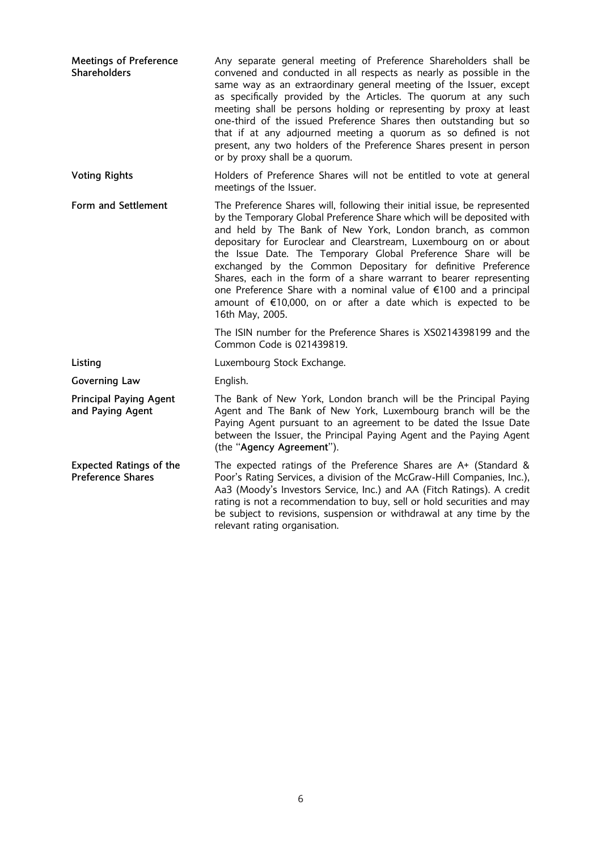| <b>Meetings of Preference</b><br><b>Shareholders</b>       | Any separate general meeting of Preference Shareholders shall be<br>convened and conducted in all respects as nearly as possible in the<br>same way as an extraordinary general meeting of the Issuer, except<br>as specifically provided by the Articles. The quorum at any such<br>meeting shall be persons holding or representing by proxy at least<br>one-third of the issued Preference Shares then outstanding but so<br>that if at any adjourned meeting a quorum as so defined is not<br>present, any two holders of the Preference Shares present in person<br>or by proxy shall be a quorum.                                              |
|------------------------------------------------------------|------------------------------------------------------------------------------------------------------------------------------------------------------------------------------------------------------------------------------------------------------------------------------------------------------------------------------------------------------------------------------------------------------------------------------------------------------------------------------------------------------------------------------------------------------------------------------------------------------------------------------------------------------|
| <b>Voting Rights</b>                                       | Holders of Preference Shares will not be entitled to vote at general<br>meetings of the Issuer.                                                                                                                                                                                                                                                                                                                                                                                                                                                                                                                                                      |
| Form and Settlement                                        | The Preference Shares will, following their initial issue, be represented<br>by the Temporary Global Preference Share which will be deposited with<br>and held by The Bank of New York, London branch, as common<br>depositary for Euroclear and Clearstream, Luxembourg on or about<br>the Issue Date. The Temporary Global Preference Share will be<br>exchanged by the Common Depositary for definitive Preference<br>Shares, each in the form of a share warrant to bearer representing<br>one Preference Share with a nominal value of €100 and a principal<br>amount of €10,000, on or after a date which is expected to be<br>16th May, 2005. |
|                                                            | The ISIN number for the Preference Shares is XS0214398199 and the<br>Common Code is 021439819.                                                                                                                                                                                                                                                                                                                                                                                                                                                                                                                                                       |
| Listing                                                    | Luxembourg Stock Exchange.                                                                                                                                                                                                                                                                                                                                                                                                                                                                                                                                                                                                                           |
| <b>Governing Law</b>                                       | English.                                                                                                                                                                                                                                                                                                                                                                                                                                                                                                                                                                                                                                             |
| <b>Principal Paying Agent</b><br>and Paying Agent          | The Bank of New York, London branch will be the Principal Paying<br>Agent and The Bank of New York, Luxembourg branch will be the<br>Paying Agent pursuant to an agreement to be dated the Issue Date<br>between the Issuer, the Principal Paying Agent and the Paying Agent<br>(the "Agency Agreement").                                                                                                                                                                                                                                                                                                                                            |
| <b>Expected Ratings of the</b><br><b>Preference Shares</b> | The expected ratings of the Preference Shares are A+ (Standard &<br>Poor's Rating Services, a division of the McGraw-Hill Companies, Inc.),<br>Aa3 (Moody's Investors Service, Inc.) and AA (Fitch Ratings). A credit<br>rating is not a recommendation to buy, sell or hold securities and may<br>be subject to revisions, suspension or withdrawal at any time by the<br>relevant rating organisation.                                                                                                                                                                                                                                             |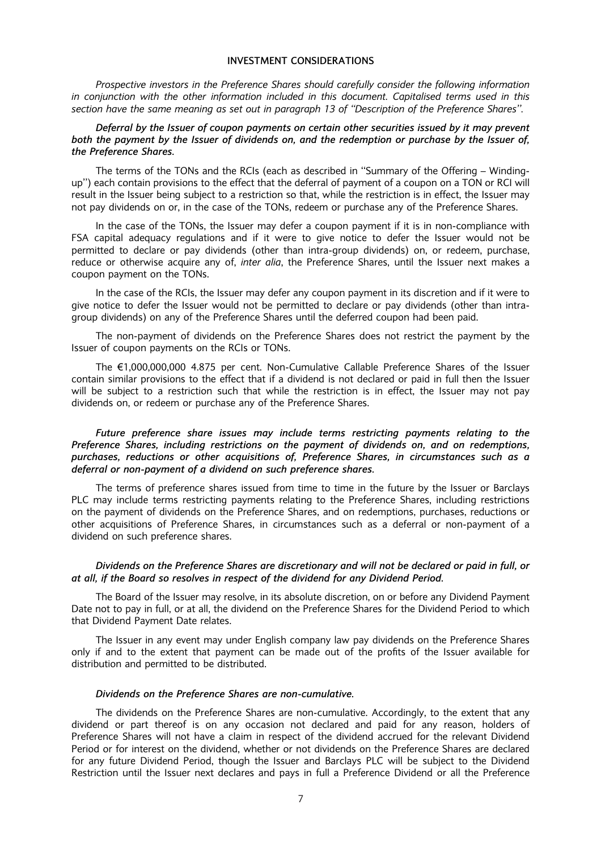## INVESTMENT CONSIDERATIONS

Prospective investors in the Preference Shares should carefully consider the following information in conjunction with the other information included in this document. Capitalised terms used in this section have the same meaning as set out in paragraph 13 of ''Description of the Preference Shares''.

Deferral by the Issuer of coupon payments on certain other securities issued by it may prevent both the payment by the Issuer of dividends on, and the redemption or purchase by the Issuer of, the Preference Shares.

The terms of the TONs and the RCIs (each as described in ''Summary of the Offering – Windingup'') each contain provisions to the effect that the deferral of payment of a coupon on a TON or RCI will result in the Issuer being subject to a restriction so that, while the restriction is in effect, the Issuer may not pay dividends on or, in the case of the TONs, redeem or purchase any of the Preference Shares.

In the case of the TONs, the Issuer may defer a coupon payment if it is in non-compliance with FSA capital adequacy regulations and if it were to give notice to defer the Issuer would not be permitted to declare or pay dividends (other than intra-group dividends) on, or redeem, purchase, reduce or otherwise acquire any of, inter alia, the Preference Shares, until the Issuer next makes a coupon payment on the TONs.

In the case of the RCIs, the Issuer may defer any coupon payment in its discretion and if it were to give notice to defer the Issuer would not be permitted to declare or pay dividends (other than intragroup dividends) on any of the Preference Shares until the deferred coupon had been paid.

The non-payment of dividends on the Preference Shares does not restrict the payment by the Issuer of coupon payments on the RCIs or TONs.

The  $E1,000,000,000$  4.875 per cent. Non-Cumulative Callable Preference Shares of the Issuer contain similar provisions to the effect that if a dividend is not declared or paid in full then the Issuer will be subject to a restriction such that while the restriction is in effect, the Issuer may not pay dividends on, or redeem or purchase any of the Preference Shares.

## Future preference share issues may include terms restricting payments relating to the Preference Shares, including restrictions on the payment of dividends on, and on redemptions, purchases, reductions or other acquisitions of, Preference Shares, in circumstances such as a deferral or non-payment of a dividend on such preference shares.

The terms of preference shares issued from time to time in the future by the Issuer or Barclays PLC may include terms restricting payments relating to the Preference Shares, including restrictions on the payment of dividends on the Preference Shares, and on redemptions, purchases, reductions or other acquisitions of Preference Shares, in circumstances such as a deferral or non-payment of a dividend on such preference shares.

#### Dividends on the Preference Shares are discretionary and will not be declared or paid in full, or at all, if the Board so resolves in respect of the dividend for any Dividend Period.

The Board of the Issuer may resolve, in its absolute discretion, on or before any Dividend Payment Date not to pay in full, or at all, the dividend on the Preference Shares for the Dividend Period to which that Dividend Payment Date relates.

The Issuer in any event may under English company law pay dividends on the Preference Shares only if and to the extent that payment can be made out of the profits of the Issuer available for distribution and permitted to be distributed.

## Dividends on the Preference Shares are non-cumulative.

The dividends on the Preference Shares are non-cumulative. Accordingly, to the extent that any dividend or part thereof is on any occasion not declared and paid for any reason, holders of Preference Shares will not have a claim in respect of the dividend accrued for the relevant Dividend Period or for interest on the dividend, whether or not dividends on the Preference Shares are declared for any future Dividend Period, though the Issuer and Barclays PLC will be subject to the Dividend Restriction until the Issuer next declares and pays in full a Preference Dividend or all the Preference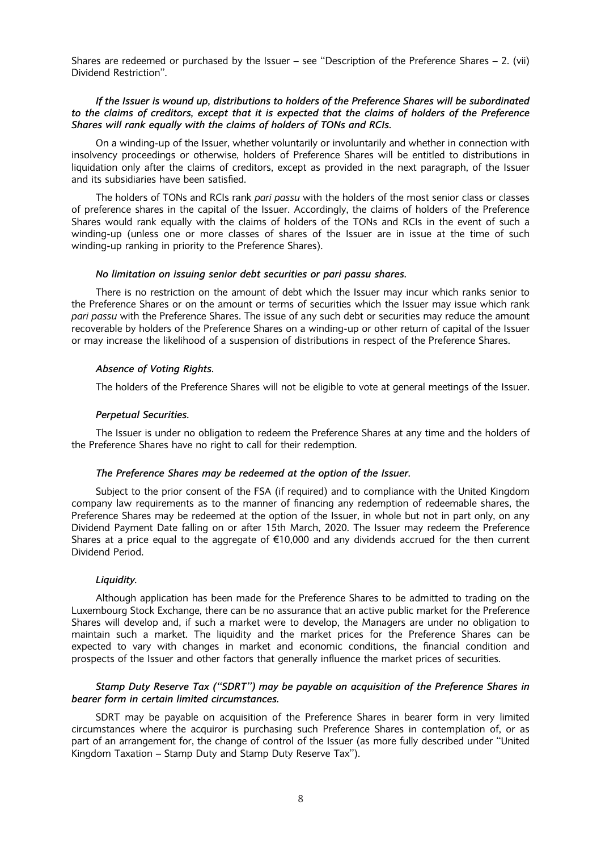Shares are redeemed or purchased by the Issuer – see ''Description of the Preference Shares – 2. (vii) Dividend Restriction''.

## If the Issuer is wound up, distributions to holders of the Preference Shares will be subordinated to the claims of creditors, except that it is expected that the claims of holders of the Preference Shares will rank equally with the claims of holders of TONs and RCIs.

On a winding-up of the Issuer, whether voluntarily or involuntarily and whether in connection with insolvency proceedings or otherwise, holders of Preference Shares will be entitled to distributions in liquidation only after the claims of creditors, except as provided in the next paragraph, of the Issuer and its subsidiaries have been satisfied.

The holders of TONs and RCIs rank pari passu with the holders of the most senior class or classes of preference shares in the capital of the Issuer. Accordingly, the claims of holders of the Preference Shares would rank equally with the claims of holders of the TONs and RCIs in the event of such a winding-up (unless one or more classes of shares of the Issuer are in issue at the time of such winding-up ranking in priority to the Preference Shares).

#### No limitation on issuing senior debt securities or pari passu shares.

There is no restriction on the amount of debt which the Issuer may incur which ranks senior to the Preference Shares or on the amount or terms of securities which the Issuer may issue which rank pari passu with the Preference Shares. The issue of any such debt or securities may reduce the amount recoverable by holders of the Preference Shares on a winding-up or other return of capital of the Issuer or may increase the likelihood of a suspension of distributions in respect of the Preference Shares.

#### Absence of Voting Rights.

The holders of the Preference Shares will not be eligible to vote at general meetings of the Issuer.

## Perpetual Securities.

The Issuer is under no obligation to redeem the Preference Shares at any time and the holders of the Preference Shares have no right to call for their redemption.

## The Preference Shares may be redeemed at the option of the Issuer.

Subject to the prior consent of the FSA (if required) and to compliance with the United Kingdom company law requirements as to the manner of financing any redemption of redeemable shares, the Preference Shares may be redeemed at the option of the Issuer, in whole but not in part only, on any Dividend Payment Date falling on or after 15th March, 2020. The Issuer may redeem the Preference Shares at a price equal to the aggregate of  $\epsilon$ 10,000 and any dividends accrued for the then current Dividend Period.

#### Liquidity.

Although application has been made for the Preference Shares to be admitted to trading on the Luxembourg Stock Exchange, there can be no assurance that an active public market for the Preference Shares will develop and, if such a market were to develop, the Managers are under no obligation to maintain such a market. The liquidity and the market prices for the Preference Shares can be expected to vary with changes in market and economic conditions, the financial condition and prospects of the Issuer and other factors that generally influence the market prices of securities.

## Stamp Duty Reserve Tax (''SDRT'') may be payable on acquisition of the Preference Shares in bearer form in certain limited circumstances.

SDRT may be payable on acquisition of the Preference Shares in bearer form in very limited circumstances where the acquiror is purchasing such Preference Shares in contemplation of, or as part of an arrangement for, the change of control of the Issuer (as more fully described under ''United Kingdom Taxation – Stamp Duty and Stamp Duty Reserve Tax'').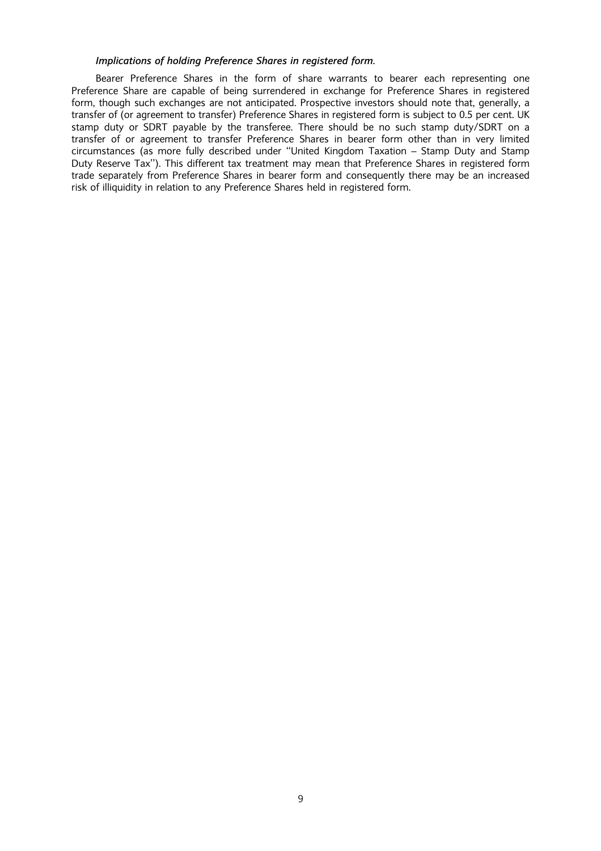## Implications of holding Preference Shares in registered form.

Bearer Preference Shares in the form of share warrants to bearer each representing one Preference Share are capable of being surrendered in exchange for Preference Shares in registered form, though such exchanges are not anticipated. Prospective investors should note that, generally, a transfer of (or agreement to transfer) Preference Shares in registered form is subject to 0.5 per cent. UK stamp duty or SDRT payable by the transferee. There should be no such stamp duty/SDRT on a transfer of or agreement to transfer Preference Shares in bearer form other than in very limited circumstances (as more fully described under ''United Kingdom Taxation – Stamp Duty and Stamp Duty Reserve Tax''). This different tax treatment may mean that Preference Shares in registered form trade separately from Preference Shares in bearer form and consequently there may be an increased risk of illiquidity in relation to any Preference Shares held in registered form.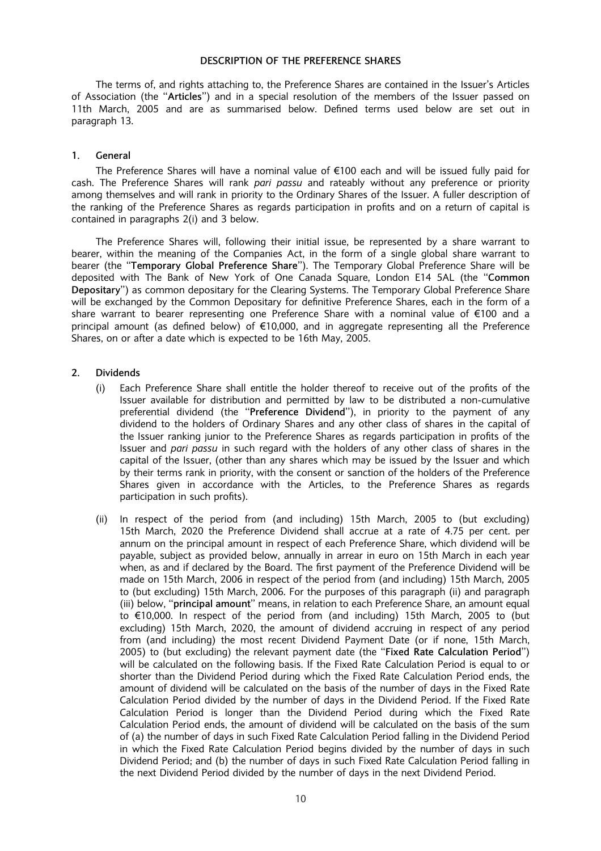## DESCRIPTION OF THE PREFERENCE SHARES

The terms of, and rights attaching to, the Preference Shares are contained in the Issuer's Articles of Association (the ''Articles'') and in a special resolution of the members of the Issuer passed on 11th March, 2005 and are as summarised below. Defined terms used below are set out in paragraph 13.

## 1. General

The Preference Shares will have a nominal value of  $\epsilon$ 100 each and will be issued fully paid for cash. The Preference Shares will rank pari passu and rateably without any preference or priority among themselves and will rank in priority to the Ordinary Shares of the Issuer. A fuller description of the ranking of the Preference Shares as regards participation in profits and on a return of capital is contained in paragraphs 2(i) and 3 below.

The Preference Shares will, following their initial issue, be represented by a share warrant to bearer, within the meaning of the Companies Act, in the form of a single global share warrant to bearer (the ''Temporary Global Preference Share''). The Temporary Global Preference Share will be deposited with The Bank of New York of One Canada Square, London E14 5AL (the ''Common Depositary'') as common depositary for the Clearing Systems. The Temporary Global Preference Share will be exchanged by the Common Depositary for definitive Preference Shares, each in the form of a share warrant to bearer representing one Preference Share with a nominal value of  $\epsilon$ 100 and a principal amount (as defined below) of  $E10,000$ , and in aggregate representing all the Preference Shares, on or after a date which is expected to be 16th May, 2005.

## 2. Dividends

- (i) Each Preference Share shall entitle the holder thereof to receive out of the profits of the Issuer available for distribution and permitted by law to be distributed a non-cumulative preferential dividend (the "Preference Dividend"), in priority to the payment of any dividend to the holders of Ordinary Shares and any other class of shares in the capital of the Issuer ranking junior to the Preference Shares as regards participation in profits of the Issuer and pari passu in such regard with the holders of any other class of shares in the capital of the Issuer, (other than any shares which may be issued by the Issuer and which by their terms rank in priority, with the consent or sanction of the holders of the Preference Shares given in accordance with the Articles, to the Preference Shares as regards participation in such profits).
- (ii) In respect of the period from (and including) 15th March, 2005 to (but excluding) 15th March, 2020 the Preference Dividend shall accrue at a rate of 4.75 per cent. per annum on the principal amount in respect of each Preference Share, which dividend will be payable, subject as provided below, annually in arrear in euro on 15th March in each year when, as and if declared by the Board. The first payment of the Preference Dividend will be made on 15th March, 2006 in respect of the period from (and including) 15th March, 2005 to (but excluding) 15th March, 2006. For the purposes of this paragraph (ii) and paragraph (iii) below, ''principal amount'' means, in relation to each Preference Share, an amount equal to  $\epsilon$ 10,000. In respect of the period from (and including) 15th March, 2005 to (but excluding) 15th March, 2020, the amount of dividend accruing in respect of any period from (and including) the most recent Dividend Payment Date (or if none, 15th March, 2005) to (but excluding) the relevant payment date (the ''Fixed Rate Calculation Period'') will be calculated on the following basis. If the Fixed Rate Calculation Period is equal to or shorter than the Dividend Period during which the Fixed Rate Calculation Period ends, the amount of dividend will be calculated on the basis of the number of days in the Fixed Rate Calculation Period divided by the number of days in the Dividend Period. If the Fixed Rate Calculation Period is longer than the Dividend Period during which the Fixed Rate Calculation Period ends, the amount of dividend will be calculated on the basis of the sum of (a) the number of days in such Fixed Rate Calculation Period falling in the Dividend Period in which the Fixed Rate Calculation Period begins divided by the number of days in such Dividend Period; and (b) the number of days in such Fixed Rate Calculation Period falling in the next Dividend Period divided by the number of days in the next Dividend Period.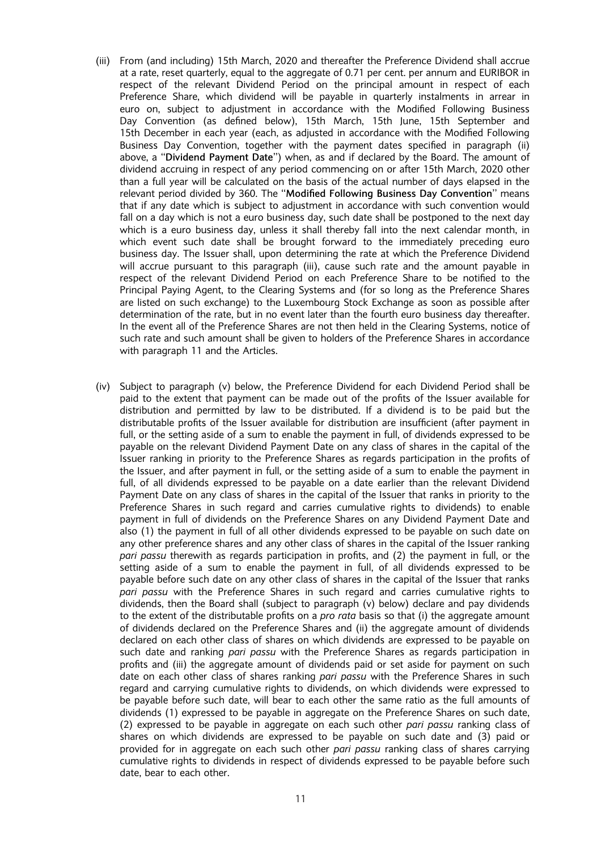- (iii) From (and including) 15th March, 2020 and thereafter the Preference Dividend shall accrue at a rate, reset quarterly, equal to the aggregate of 0.71 per cent. per annum and EURIBOR in respect of the relevant Dividend Period on the principal amount in respect of each Preference Share, which dividend will be payable in quarterly instalments in arrear in euro on, subject to adjustment in accordance with the Modified Following Business Day Convention (as defined below), 15th March, 15th June, 15th September and 15th December in each year (each, as adjusted in accordance with the Modified Following Business Day Convention, together with the payment dates specified in paragraph (ii) above, a ''Dividend Payment Date'') when, as and if declared by the Board. The amount of dividend accruing in respect of any period commencing on or after 15th March, 2020 other than a full year will be calculated on the basis of the actual number of days elapsed in the relevant period divided by 360. The "Modified Following Business Day Convention" means that if any date which is subject to adjustment in accordance with such convention would fall on a day which is not a euro business day, such date shall be postponed to the next day which is a euro business day, unless it shall thereby fall into the next calendar month, in which event such date shall be brought forward to the immediately preceding euro business day. The Issuer shall, upon determining the rate at which the Preference Dividend will accrue pursuant to this paragraph (iii), cause such rate and the amount payable in respect of the relevant Dividend Period on each Preference Share to be notified to the Principal Paying Agent, to the Clearing Systems and (for so long as the Preference Shares are listed on such exchange) to the Luxembourg Stock Exchange as soon as possible after determination of the rate, but in no event later than the fourth euro business day thereafter. In the event all of the Preference Shares are not then held in the Clearing Systems, notice of such rate and such amount shall be given to holders of the Preference Shares in accordance with paragraph 11 and the Articles.
- (iv) Subject to paragraph (v) below, the Preference Dividend for each Dividend Period shall be paid to the extent that payment can be made out of the profits of the Issuer available for distribution and permitted by law to be distributed. If a dividend is to be paid but the distributable profits of the Issuer available for distribution are insufficient (after payment in full, or the setting aside of a sum to enable the payment in full, of dividends expressed to be payable on the relevant Dividend Payment Date on any class of shares in the capital of the Issuer ranking in priority to the Preference Shares as regards participation in the profits of the Issuer, and after payment in full, or the setting aside of a sum to enable the payment in full, of all dividends expressed to be payable on a date earlier than the relevant Dividend Payment Date on any class of shares in the capital of the Issuer that ranks in priority to the Preference Shares in such regard and carries cumulative rights to dividends) to enable payment in full of dividends on the Preference Shares on any Dividend Payment Date and also (1) the payment in full of all other dividends expressed to be payable on such date on any other preference shares and any other class of shares in the capital of the Issuer ranking pari passu therewith as regards participation in profits, and (2) the payment in full, or the setting aside of a sum to enable the payment in full, of all dividends expressed to be payable before such date on any other class of shares in the capital of the Issuer that ranks pari passu with the Preference Shares in such regard and carries cumulative rights to dividends, then the Board shall (subject to paragraph (v) below) declare and pay dividends to the extent of the distributable profits on a *pro rata* basis so that (i) the aggregate amount of dividends declared on the Preference Shares and (ii) the aggregate amount of dividends declared on each other class of shares on which dividends are expressed to be payable on such date and ranking *pari passu* with the Preference Shares as regards participation in profits and (iii) the aggregate amount of dividends paid or set aside for payment on such date on each other class of shares ranking pari passu with the Preference Shares in such regard and carrying cumulative rights to dividends, on which dividends were expressed to be payable before such date, will bear to each other the same ratio as the full amounts of dividends (1) expressed to be payable in aggregate on the Preference Shares on such date, (2) expressed to be payable in aggregate on each such other pari passu ranking class of shares on which dividends are expressed to be payable on such date and (3) paid or provided for in aggregate on each such other pari passu ranking class of shares carrying cumulative rights to dividends in respect of dividends expressed to be payable before such date, bear to each other.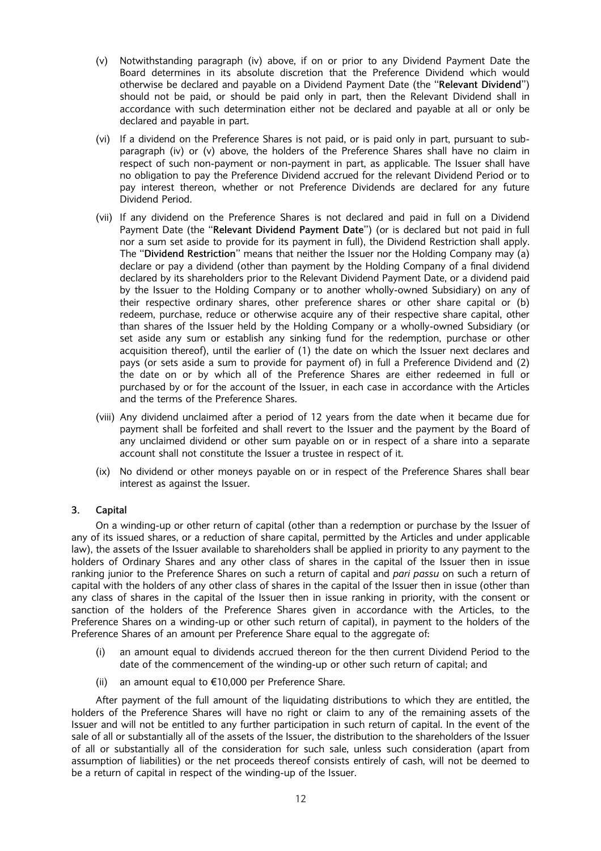- (v) Notwithstanding paragraph (iv) above, if on or prior to any Dividend Payment Date the Board determines in its absolute discretion that the Preference Dividend which would otherwise be declared and payable on a Dividend Payment Date (the ''Relevant Dividend'') should not be paid, or should be paid only in part, then the Relevant Dividend shall in accordance with such determination either not be declared and payable at all or only be declared and payable in part.
- (vi) If a dividend on the Preference Shares is not paid, or is paid only in part, pursuant to subparagraph (iv) or (v) above, the holders of the Preference Shares shall have no claim in respect of such non-payment or non-payment in part, as applicable. The Issuer shall have no obligation to pay the Preference Dividend accrued for the relevant Dividend Period or to pay interest thereon, whether or not Preference Dividends are declared for any future Dividend Period.
- (vii) If any dividend on the Preference Shares is not declared and paid in full on a Dividend Payment Date (the ''Relevant Dividend Payment Date'') (or is declared but not paid in full nor a sum set aside to provide for its payment in full), the Dividend Restriction shall apply. The ''Dividend Restriction'' means that neither the Issuer nor the Holding Company may (a) declare or pay a dividend (other than payment by the Holding Company of a final dividend declared by its shareholders prior to the Relevant Dividend Payment Date, or a dividend paid by the Issuer to the Holding Company or to another wholly-owned Subsidiary) on any of their respective ordinary shares, other preference shares or other share capital or (b) redeem, purchase, reduce or otherwise acquire any of their respective share capital, other than shares of the Issuer held by the Holding Company or a wholly-owned Subsidiary (or set aside any sum or establish any sinking fund for the redemption, purchase or other acquisition thereof), until the earlier of (1) the date on which the Issuer next declares and pays (or sets aside a sum to provide for payment of) in full a Preference Dividend and (2) the date on or by which all of the Preference Shares are either redeemed in full or purchased by or for the account of the Issuer, in each case in accordance with the Articles and the terms of the Preference Shares.
- (viii) Any dividend unclaimed after a period of 12 years from the date when it became due for payment shall be forfeited and shall revert to the Issuer and the payment by the Board of any unclaimed dividend or other sum payable on or in respect of a share into a separate account shall not constitute the Issuer a trustee in respect of it.
- (ix) No dividend or other moneys payable on or in respect of the Preference Shares shall bear interest as against the Issuer.

## 3. Capital

On a winding-up or other return of capital (other than a redemption or purchase by the Issuer of any of its issued shares, or a reduction of share capital, permitted by the Articles and under applicable law), the assets of the Issuer available to shareholders shall be applied in priority to any payment to the holders of Ordinary Shares and any other class of shares in the capital of the Issuer then in issue ranking junior to the Preference Shares on such a return of capital and pari passu on such a return of capital with the holders of any other class of shares in the capital of the Issuer then in issue (other than any class of shares in the capital of the Issuer then in issue ranking in priority, with the consent or sanction of the holders of the Preference Shares given in accordance with the Articles, to the Preference Shares on a winding-up or other such return of capital), in payment to the holders of the Preference Shares of an amount per Preference Share equal to the aggregate of:

- (i) an amount equal to dividends accrued thereon for the then current Dividend Period to the date of the commencement of the winding-up or other such return of capital; and
- (ii) an amount equal to  $\epsilon$ 10,000 per Preference Share.

After payment of the full amount of the liquidating distributions to which they are entitled, the holders of the Preference Shares will have no right or claim to any of the remaining assets of the Issuer and will not be entitled to any further participation in such return of capital. In the event of the sale of all or substantially all of the assets of the Issuer, the distribution to the shareholders of the Issuer of all or substantially all of the consideration for such sale, unless such consideration (apart from assumption of liabilities) or the net proceeds thereof consists entirely of cash, will not be deemed to be a return of capital in respect of the winding-up of the Issuer.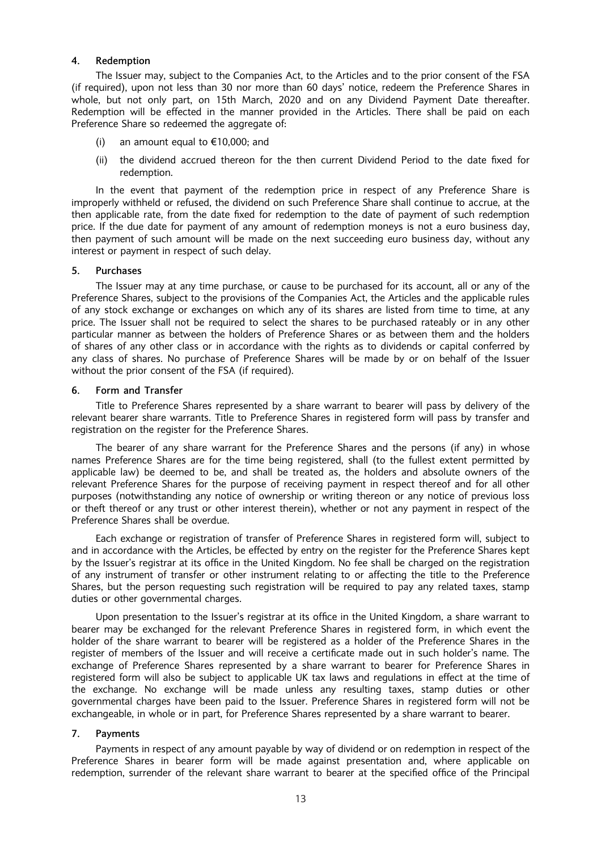## 4. Redemption

The Issuer may, subject to the Companies Act, to the Articles and to the prior consent of the FSA (if required), upon not less than 30 nor more than 60 days' notice, redeem the Preference Shares in whole, but not only part, on 15th March, 2020 and on any Dividend Payment Date thereafter. Redemption will be effected in the manner provided in the Articles. There shall be paid on each Preference Share so redeemed the aggregate of:

- (i) an amount equal to  $\epsilon$ 10,000; and
- (ii) the dividend accrued thereon for the then current Dividend Period to the date fixed for redemption.

In the event that payment of the redemption price in respect of any Preference Share is improperly withheld or refused, the dividend on such Preference Share shall continue to accrue, at the then applicable rate, from the date fixed for redemption to the date of payment of such redemption price. If the due date for payment of any amount of redemption moneys is not a euro business day, then payment of such amount will be made on the next succeeding euro business day, without any interest or payment in respect of such delay.

## 5. Purchases

The Issuer may at any time purchase, or cause to be purchased for its account, all or any of the Preference Shares, subject to the provisions of the Companies Act, the Articles and the applicable rules of any stock exchange or exchanges on which any of its shares are listed from time to time, at any price. The Issuer shall not be required to select the shares to be purchased rateably or in any other particular manner as between the holders of Preference Shares or as between them and the holders of shares of any other class or in accordance with the rights as to dividends or capital conferred by any class of shares. No purchase of Preference Shares will be made by or on behalf of the Issuer without the prior consent of the FSA (if required).

#### 6. Form and Transfer

Title to Preference Shares represented by a share warrant to bearer will pass by delivery of the relevant bearer share warrants. Title to Preference Shares in registered form will pass by transfer and registration on the register for the Preference Shares.

The bearer of any share warrant for the Preference Shares and the persons (if any) in whose names Preference Shares are for the time being registered, shall (to the fullest extent permitted by applicable law) be deemed to be, and shall be treated as, the holders and absolute owners of the relevant Preference Shares for the purpose of receiving payment in respect thereof and for all other purposes (notwithstanding any notice of ownership or writing thereon or any notice of previous loss or theft thereof or any trust or other interest therein), whether or not any payment in respect of the Preference Shares shall be overdue.

Each exchange or registration of transfer of Preference Shares in registered form will, subject to and in accordance with the Articles, be effected by entry on the register for the Preference Shares kept by the Issuer's registrar at its office in the United Kingdom. No fee shall be charged on the registration of any instrument of transfer or other instrument relating to or affecting the title to the Preference Shares, but the person requesting such registration will be required to pay any related taxes, stamp duties or other governmental charges.

Upon presentation to the Issuer's registrar at its office in the United Kingdom, a share warrant to bearer may be exchanged for the relevant Preference Shares in registered form, in which event the holder of the share warrant to bearer will be registered as a holder of the Preference Shares in the register of members of the Issuer and will receive a certificate made out in such holder's name. The exchange of Preference Shares represented by a share warrant to bearer for Preference Shares in registered form will also be subject to applicable UK tax laws and regulations in effect at the time of the exchange. No exchange will be made unless any resulting taxes, stamp duties or other governmental charges have been paid to the Issuer. Preference Shares in registered form will not be exchangeable, in whole or in part, for Preference Shares represented by a share warrant to bearer.

## 7. Payments

Payments in respect of any amount payable by way of dividend or on redemption in respect of the Preference Shares in bearer form will be made against presentation and, where applicable on redemption, surrender of the relevant share warrant to bearer at the specified office of the Principal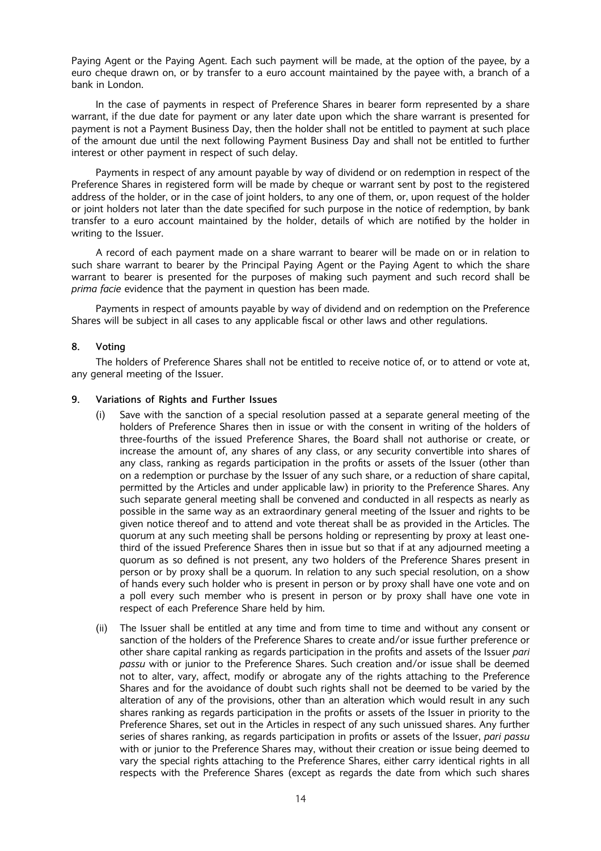Paying Agent or the Paying Agent. Each such payment will be made, at the option of the payee, by a euro cheque drawn on, or by transfer to a euro account maintained by the payee with, a branch of a bank in London.

In the case of payments in respect of Preference Shares in bearer form represented by a share warrant, if the due date for payment or any later date upon which the share warrant is presented for payment is not a Payment Business Day, then the holder shall not be entitled to payment at such place of the amount due until the next following Payment Business Day and shall not be entitled to further interest or other payment in respect of such delay.

Payments in respect of any amount payable by way of dividend or on redemption in respect of the Preference Shares in registered form will be made by cheque or warrant sent by post to the registered address of the holder, or in the case of joint holders, to any one of them, or, upon request of the holder or joint holders not later than the date specified for such purpose in the notice of redemption, by bank transfer to a euro account maintained by the holder, details of which are notified by the holder in writing to the Issuer.

A record of each payment made on a share warrant to bearer will be made on or in relation to such share warrant to bearer by the Principal Paying Agent or the Paying Agent to which the share warrant to bearer is presented for the purposes of making such payment and such record shall be prima facie evidence that the payment in question has been made.

Payments in respect of amounts payable by way of dividend and on redemption on the Preference Shares will be subject in all cases to any applicable fiscal or other laws and other regulations.

## 8. Voting

The holders of Preference Shares shall not be entitled to receive notice of, or to attend or vote at, any general meeting of the Issuer.

## 9. Variations of Rights and Further Issues

- (i) Save with the sanction of a special resolution passed at a separate general meeting of the holders of Preference Shares then in issue or with the consent in writing of the holders of three-fourths of the issued Preference Shares, the Board shall not authorise or create, or increase the amount of, any shares of any class, or any security convertible into shares of any class, ranking as regards participation in the profits or assets of the Issuer (other than on a redemption or purchase by the Issuer of any such share, or a reduction of share capital, permitted by the Articles and under applicable law) in priority to the Preference Shares. Any such separate general meeting shall be convened and conducted in all respects as nearly as possible in the same way as an extraordinary general meeting of the Issuer and rights to be given notice thereof and to attend and vote thereat shall be as provided in the Articles. The quorum at any such meeting shall be persons holding or representing by proxy at least onethird of the issued Preference Shares then in issue but so that if at any adjourned meeting a quorum as so defined is not present, any two holders of the Preference Shares present in person or by proxy shall be a quorum. In relation to any such special resolution, on a show of hands every such holder who is present in person or by proxy shall have one vote and on a poll every such member who is present in person or by proxy shall have one vote in respect of each Preference Share held by him.
- (ii) The Issuer shall be entitled at any time and from time to time and without any consent or sanction of the holders of the Preference Shares to create and/or issue further preference or other share capital ranking as regards participation in the profits and assets of the Issuer pari passu with or junior to the Preference Shares. Such creation and/or issue shall be deemed not to alter, vary, affect, modify or abrogate any of the rights attaching to the Preference Shares and for the avoidance of doubt such rights shall not be deemed to be varied by the alteration of any of the provisions, other than an alteration which would result in any such shares ranking as regards participation in the profits or assets of the Issuer in priority to the Preference Shares, set out in the Articles in respect of any such unissued shares. Any further series of shares ranking, as regards participation in profits or assets of the Issuer, pari passu with or junior to the Preference Shares may, without their creation or issue being deemed to vary the special rights attaching to the Preference Shares, either carry identical rights in all respects with the Preference Shares (except as regards the date from which such shares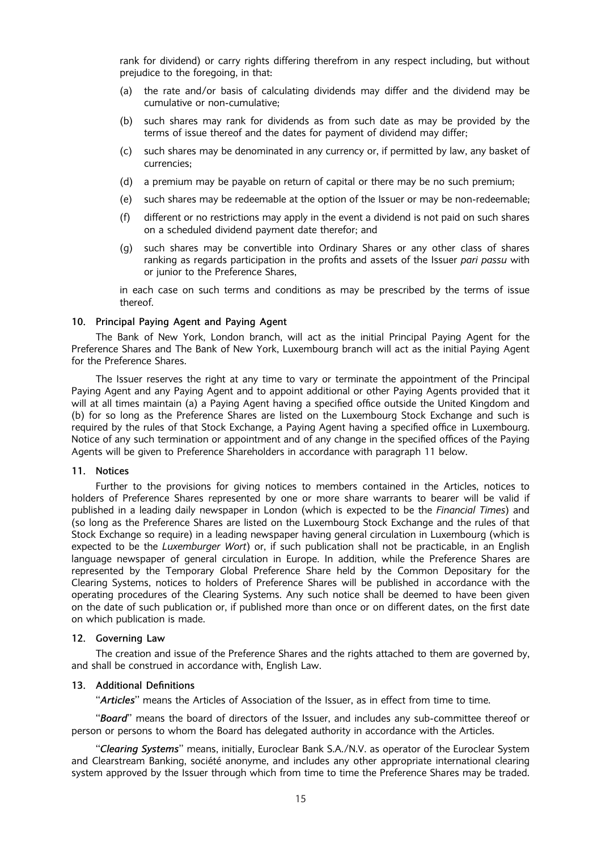rank for dividend) or carry rights differing therefrom in any respect including, but without prejudice to the foregoing, in that:

- (a) the rate and/or basis of calculating dividends may differ and the dividend may be cumulative or non-cumulative;
- (b) such shares may rank for dividends as from such date as may be provided by the terms of issue thereof and the dates for payment of dividend may differ;
- (c) such shares may be denominated in any currency or, if permitted by law, any basket of currencies;
- (d) a premium may be payable on return of capital or there may be no such premium;
- (e) such shares may be redeemable at the option of the Issuer or may be non-redeemable;
- (f) different or no restrictions may apply in the event a dividend is not paid on such shares on a scheduled dividend payment date therefor; and
- (g) such shares may be convertible into Ordinary Shares or any other class of shares ranking as regards participation in the profits and assets of the Issuer pari passu with or junior to the Preference Shares,

in each case on such terms and conditions as may be prescribed by the terms of issue thereof.

#### 10. Principal Paying Agent and Paying Agent

The Bank of New York, London branch, will act as the initial Principal Paying Agent for the Preference Shares and The Bank of New York, Luxembourg branch will act as the initial Paying Agent for the Preference Shares.

The Issuer reserves the right at any time to vary or terminate the appointment of the Principal Paying Agent and any Paying Agent and to appoint additional or other Paying Agents provided that it will at all times maintain (a) a Paying Agent having a specified office outside the United Kingdom and (b) for so long as the Preference Shares are listed on the Luxembourg Stock Exchange and such is required by the rules of that Stock Exchange, a Paying Agent having a specified office in Luxembourg. Notice of any such termination or appointment and of any change in the specified offices of the Paying Agents will be given to Preference Shareholders in accordance with paragraph 11 below.

## 11. Notices

Further to the provisions for giving notices to members contained in the Articles, notices to holders of Preference Shares represented by one or more share warrants to bearer will be valid if published in a leading daily newspaper in London (which is expected to be the Financial Times) and (so long as the Preference Shares are listed on the Luxembourg Stock Exchange and the rules of that Stock Exchange so require) in a leading newspaper having general circulation in Luxembourg (which is expected to be the Luxemburger Wort) or, if such publication shall not be practicable, in an English language newspaper of general circulation in Europe. In addition, while the Preference Shares are represented by the Temporary Global Preference Share held by the Common Depositary for the Clearing Systems, notices to holders of Preference Shares will be published in accordance with the operating procedures of the Clearing Systems. Any such notice shall be deemed to have been given on the date of such publication or, if published more than once or on different dates, on the first date on which publication is made.

## 12. Governing Law

The creation and issue of the Preference Shares and the rights attached to them are governed by, and shall be construed in accordance with, English Law.

#### 13. Additional Definitions

"Articles" means the Articles of Association of the Issuer, as in effect from time to time.

"Board" means the board of directors of the Issuer, and includes any sub-committee thereof or person or persons to whom the Board has delegated authority in accordance with the Articles.

"Clearing Systems" means, initially, Euroclear Bank S.A./N.V. as operator of the Euroclear System and Clearstream Banking, société anonyme, and includes any other appropriate international clearing system approved by the Issuer through which from time to time the Preference Shares may be traded.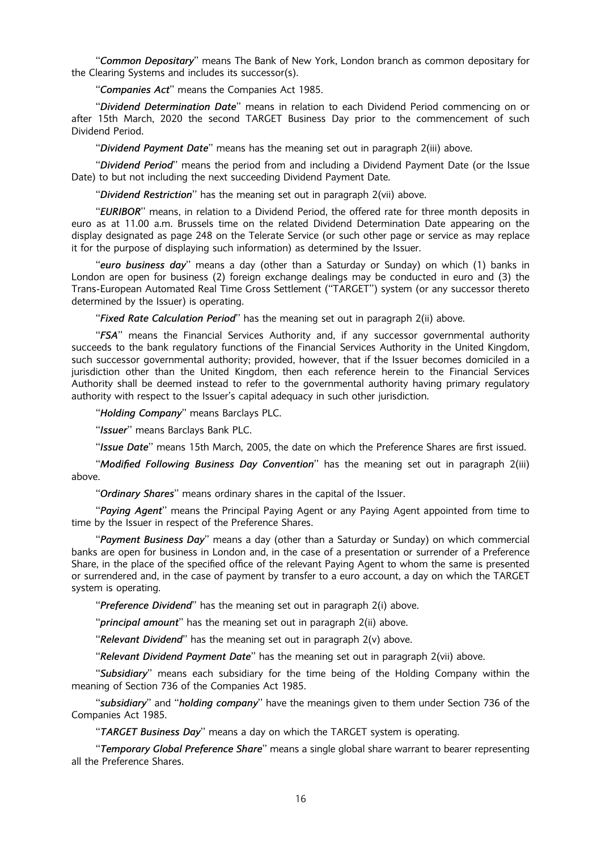"Common Depositary" means The Bank of New York, London branch as common depositary for the Clearing Systems and includes its successor(s).

"Companies Act" means the Companies Act 1985.

"Dividend Determination Date" means in relation to each Dividend Period commencing on or after 15th March, 2020 the second TARGET Business Day prior to the commencement of such Dividend Period.

"Dividend Payment Date" means has the meaning set out in paragraph 2(iii) above.

"Dividend Period" means the period from and including a Dividend Payment Date (or the Issue Date) to but not including the next succeeding Dividend Payment Date.

"Dividend Restriction" has the meaning set out in paragraph 2(vii) above.

"EURIBOR" means, in relation to a Dividend Period, the offered rate for three month deposits in euro as at 11.00 a.m. Brussels time on the related Dividend Determination Date appearing on the display designated as page 248 on the Telerate Service (or such other page or service as may replace it for the purpose of displaying such information) as determined by the Issuer.

"euro business day" means a day (other than a Saturday or Sunday) on which (1) banks in London are open for business (2) foreign exchange dealings may be conducted in euro and (3) the Trans-European Automated Real Time Gross Settlement (''TARGET'') system (or any successor thereto determined by the Issuer) is operating.

"Fixed Rate Calculation Period" has the meaning set out in paragraph 2(ii) above.

"FSA" means the Financial Services Authority and, if any successor governmental authority succeeds to the bank regulatory functions of the Financial Services Authority in the United Kingdom, such successor governmental authority; provided, however, that if the Issuer becomes domiciled in a jurisdiction other than the United Kingdom, then each reference herein to the Financial Services Authority shall be deemed instead to refer to the governmental authority having primary regulatory authority with respect to the Issuer's capital adequacy in such other jurisdiction.

"Holding Company" means Barclays PLC.

"Issuer" means Barclays Bank PLC.

"Issue Date" means 15th March, 2005, the date on which the Preference Shares are first issued.

"Modified Following Business Day Convention" has the meaning set out in paragraph 2(iii) above.

"Ordinary Shares" means ordinary shares in the capital of the Issuer.

"Paying Agent" means the Principal Paying Agent or any Paying Agent appointed from time to time by the Issuer in respect of the Preference Shares.

"Payment Business Day" means a day (other than a Saturday or Sunday) on which commercial banks are open for business in London and, in the case of a presentation or surrender of a Preference Share, in the place of the specified office of the relevant Paying Agent to whom the same is presented or surrendered and, in the case of payment by transfer to a euro account, a day on which the TARGET system is operating.

''Preference Dividend'' has the meaning set out in paragraph 2(i) above.

"principal amount" has the meaning set out in paragraph 2(ii) above.

"Relevant Dividend" has the meaning set out in paragraph  $2(v)$  above.

"Relevant Dividend Payment Date" has the meaning set out in paragraph 2(vii) above.

"Subsidiary" means each subsidiary for the time being of the Holding Company within the meaning of Section 736 of the Companies Act 1985.

"subsidiary" and "holding company" have the meanings given to them under Section 736 of the Companies Act 1985.

"TARGET Business Day" means a day on which the TARGET system is operating.

"Temporary Global Preference Share" means a single global share warrant to bearer representing all the Preference Shares.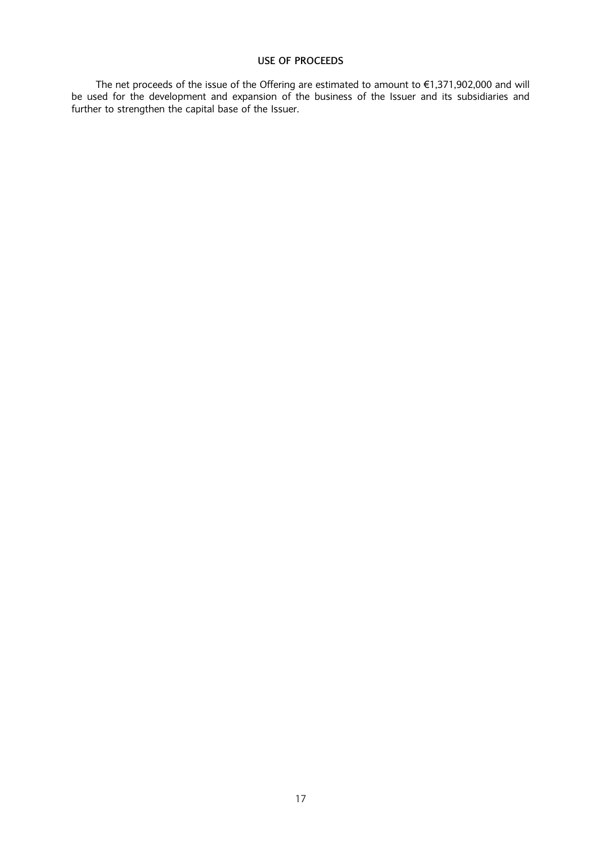## USE OF PROCEEDS

The net proceeds of the issue of the Offering are estimated to amount to  $\epsilon$ 1,371,902,000 and will be used for the development and expansion of the business of the Issuer and its subsidiaries and further to strengthen the capital base of the Issuer.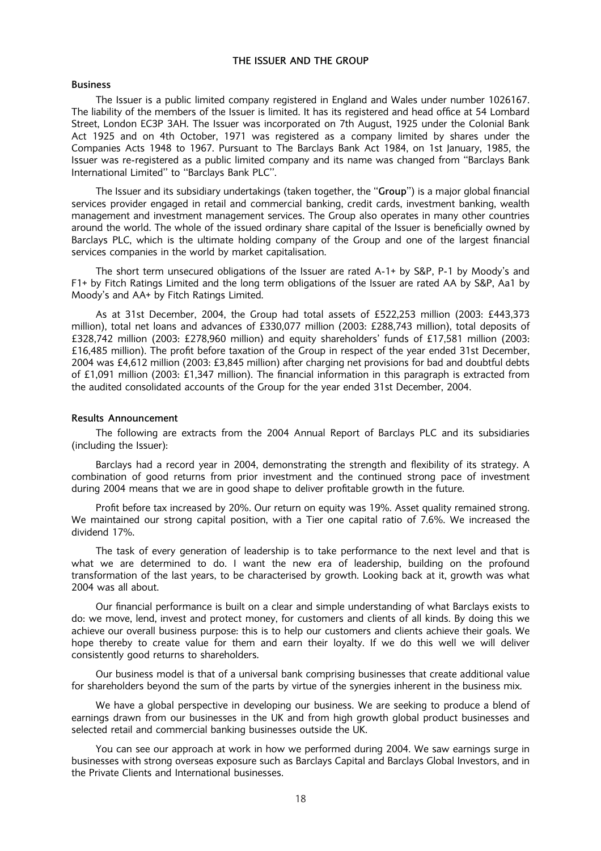## THE ISSUER AND THE GROUP

#### Business

The Issuer is a public limited company registered in England and Wales under number 1026167. The liability of the members of the Issuer is limited. It has its registered and head office at 54 Lombard Street, London EC3P 3AH. The Issuer was incorporated on 7th August, 1925 under the Colonial Bank Act 1925 and on 4th October, 1971 was registered as a company limited by shares under the Companies Acts 1948 to 1967. Pursuant to The Barclays Bank Act 1984, on 1st January, 1985, the Issuer was re-registered as a public limited company and its name was changed from ''Barclays Bank International Limited'' to ''Barclays Bank PLC''.

The Issuer and its subsidiary undertakings (taken together, the "Group") is a major global financial services provider engaged in retail and commercial banking, credit cards, investment banking, wealth management and investment management services. The Group also operates in many other countries around the world. The whole of the issued ordinary share capital of the Issuer is beneficially owned by Barclays PLC, which is the ultimate holding company of the Group and one of the largest financial services companies in the world by market capitalisation.

The short term unsecured obligations of the Issuer are rated A-1+ by S&P, P-1 by Moody's and F1+ by Fitch Ratings Limited and the long term obligations of the Issuer are rated AA by S&P, Aa1 by Moody's and AA+ by Fitch Ratings Limited.

As at 31st December, 2004, the Group had total assets of £522,253 million (2003: £443,373 million), total net loans and advances of £330,077 million (2003: £288,743 million), total deposits of £328,742 million (2003: £278,960 million) and equity shareholders' funds of £17,581 million (2003: £16,485 million). The profit before taxation of the Group in respect of the year ended 31st December, 2004 was £4,612 million (2003: £3,845 million) after charging net provisions for bad and doubtful debts of £1,091 million (2003: £1,347 million). The financial information in this paragraph is extracted from the audited consolidated accounts of the Group for the year ended 31st December, 2004.

#### Results Announcement

The following are extracts from the 2004 Annual Report of Barclays PLC and its subsidiaries (including the Issuer):

Barclays had a record year in 2004, demonstrating the strength and flexibility of its strategy. A combination of good returns from prior investment and the continued strong pace of investment during 2004 means that we are in good shape to deliver profitable growth in the future.

Profit before tax increased by 20%. Our return on equity was 19%. Asset quality remained strong. We maintained our strong capital position, with a Tier one capital ratio of 7.6%. We increased the dividend 17%.

The task of every generation of leadership is to take performance to the next level and that is what we are determined to do. I want the new era of leadership, building on the profound transformation of the last years, to be characterised by growth. Looking back at it, growth was what 2004 was all about.

Our financial performance is built on a clear and simple understanding of what Barclays exists to do: we move, lend, invest and protect money, for customers and clients of all kinds. By doing this we achieve our overall business purpose: this is to help our customers and clients achieve their goals. We hope thereby to create value for them and earn their loyalty. If we do this well we will deliver consistently good returns to shareholders.

Our business model is that of a universal bank comprising businesses that create additional value for shareholders beyond the sum of the parts by virtue of the synergies inherent in the business mix.

We have a global perspective in developing our business. We are seeking to produce a blend of earnings drawn from our businesses in the UK and from high growth global product businesses and selected retail and commercial banking businesses outside the UK.

You can see our approach at work in how we performed during 2004. We saw earnings surge in businesses with strong overseas exposure such as Barclays Capital and Barclays Global Investors, and in the Private Clients and International businesses.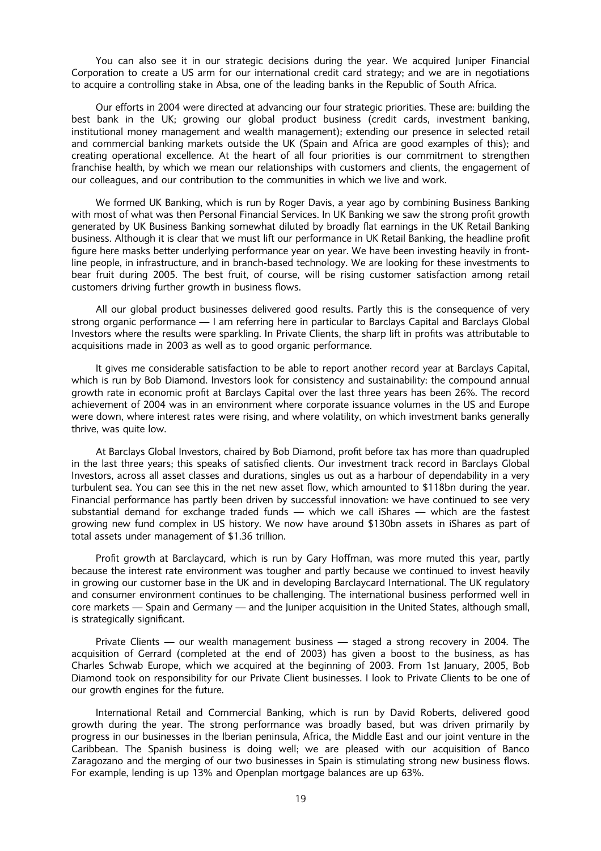You can also see it in our strategic decisions during the year. We acquired Juniper Financial Corporation to create a US arm for our international credit card strategy; and we are in negotiations to acquire a controlling stake in Absa, one of the leading banks in the Republic of South Africa.

Our efforts in 2004 were directed at advancing our four strategic priorities. These are: building the best bank in the UK; growing our global product business (credit cards, investment banking, institutional money management and wealth management); extending our presence in selected retail and commercial banking markets outside the UK (Spain and Africa are good examples of this); and creating operational excellence. At the heart of all four priorities is our commitment to strengthen franchise health, by which we mean our relationships with customers and clients, the engagement of our colleagues, and our contribution to the communities in which we live and work.

We formed UK Banking, which is run by Roger Davis, a year ago by combining Business Banking with most of what was then Personal Financial Services. In UK Banking we saw the strong profit growth generated by UK Business Banking somewhat diluted by broadly flat earnings in the UK Retail Banking business. Although it is clear that we must lift our performance in UK Retail Banking, the headline profit figure here masks better underlying performance year on year. We have been investing heavily in frontline people, in infrastructure, and in branch-based technology. We are looking for these investments to bear fruit during 2005. The best fruit, of course, will be rising customer satisfaction among retail customers driving further growth in business flows.

All our global product businesses delivered good results. Partly this is the consequence of very strong organic performance — I am referring here in particular to Barclays Capital and Barclays Global Investors where the results were sparkling. In Private Clients, the sharp lift in profits was attributable to acquisitions made in 2003 as well as to good organic performance.

It gives me considerable satisfaction to be able to report another record year at Barclays Capital, which is run by Bob Diamond. Investors look for consistency and sustainability: the compound annual growth rate in economic profit at Barclays Capital over the last three years has been 26%. The record achievement of 2004 was in an environment where corporate issuance volumes in the US and Europe were down, where interest rates were rising, and where volatility, on which investment banks generally thrive, was quite low.

At Barclays Global Investors, chaired by Bob Diamond, profit before tax has more than quadrupled in the last three years; this speaks of satisfied clients. Our investment track record in Barclays Global Investors, across all asset classes and durations, singles us out as a harbour of dependability in a very turbulent sea. You can see this in the net new asset flow, which amounted to \$118bn during the year. Financial performance has partly been driven by successful innovation: we have continued to see very substantial demand for exchange traded funds — which we call iShares — which are the fastest growing new fund complex in US history. We now have around \$130bn assets in iShares as part of total assets under management of \$1.36 trillion.

Profit growth at Barclaycard, which is run by Gary Hoffman, was more muted this year, partly because the interest rate environment was tougher and partly because we continued to invest heavily in growing our customer base in the UK and in developing Barclaycard International. The UK regulatory and consumer environment continues to be challenging. The international business performed well in core markets — Spain and Germany — and the Juniper acquisition in the United States, although small, is strategically significant.

Private Clients — our wealth management business — staged a strong recovery in 2004. The acquisition of Gerrard (completed at the end of 2003) has given a boost to the business, as has Charles Schwab Europe, which we acquired at the beginning of 2003. From 1st January, 2005, Bob Diamond took on responsibility for our Private Client businesses. I look to Private Clients to be one of our growth engines for the future.

International Retail and Commercial Banking, which is run by David Roberts, delivered good growth during the year. The strong performance was broadly based, but was driven primarily by progress in our businesses in the Iberian peninsula, Africa, the Middle East and our joint venture in the Caribbean. The Spanish business is doing well; we are pleased with our acquisition of Banco Zaragozano and the merging of our two businesses in Spain is stimulating strong new business flows. For example, lending is up 13% and Openplan mortgage balances are up 63%.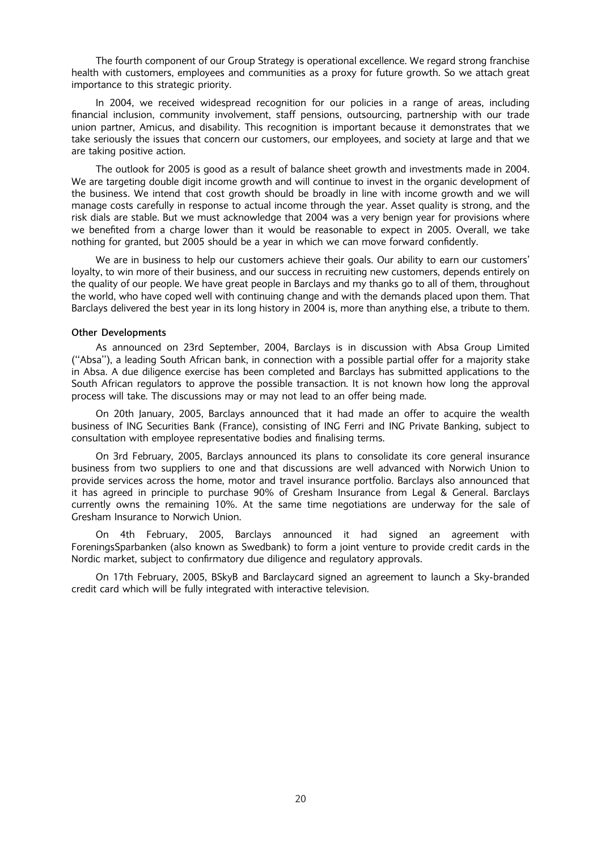The fourth component of our Group Strategy is operational excellence. We regard strong franchise health with customers, employees and communities as a proxy for future growth. So we attach great importance to this strategic priority.

In 2004, we received widespread recognition for our policies in a range of areas, including financial inclusion, community involvement, staff pensions, outsourcing, partnership with our trade union partner, Amicus, and disability. This recognition is important because it demonstrates that we take seriously the issues that concern our customers, our employees, and society at large and that we are taking positive action.

The outlook for 2005 is good as a result of balance sheet growth and investments made in 2004. We are targeting double digit income growth and will continue to invest in the organic development of the business. We intend that cost growth should be broadly in line with income growth and we will manage costs carefully in response to actual income through the year. Asset quality is strong, and the risk dials are stable. But we must acknowledge that 2004 was a very benign year for provisions where we benefited from a charge lower than it would be reasonable to expect in 2005. Overall, we take nothing for granted, but 2005 should be a year in which we can move forward confidently.

We are in business to help our customers achieve their goals. Our ability to earn our customers' loyalty, to win more of their business, and our success in recruiting new customers, depends entirely on the quality of our people. We have great people in Barclays and my thanks go to all of them, throughout the world, who have coped well with continuing change and with the demands placed upon them. That Barclays delivered the best year in its long history in 2004 is, more than anything else, a tribute to them.

#### Other Developments

As announced on 23rd September, 2004, Barclays is in discussion with Absa Group Limited (''Absa''), a leading South African bank, in connection with a possible partial offer for a majority stake in Absa. A due diligence exercise has been completed and Barclays has submitted applications to the South African regulators to approve the possible transaction. It is not known how long the approval process will take. The discussions may or may not lead to an offer being made.

On 20th January, 2005, Barclays announced that it had made an offer to acquire the wealth business of ING Securities Bank (France), consisting of ING Ferri and ING Private Banking, subject to consultation with employee representative bodies and finalising terms.

On 3rd February, 2005, Barclays announced its plans to consolidate its core general insurance business from two suppliers to one and that discussions are well advanced with Norwich Union to provide services across the home, motor and travel insurance portfolio. Barclays also announced that it has agreed in principle to purchase 90% of Gresham Insurance from Legal & General. Barclays currently owns the remaining 10%. At the same time negotiations are underway for the sale of Gresham Insurance to Norwich Union.

On 4th February, 2005, Barclays announced it had signed an agreement with ForeningsSparbanken (also known as Swedbank) to form a joint venture to provide credit cards in the Nordic market, subject to confirmatory due diligence and regulatory approvals.

On 17th February, 2005, BSkyB and Barclaycard signed an agreement to launch a Sky-branded credit card which will be fully integrated with interactive television.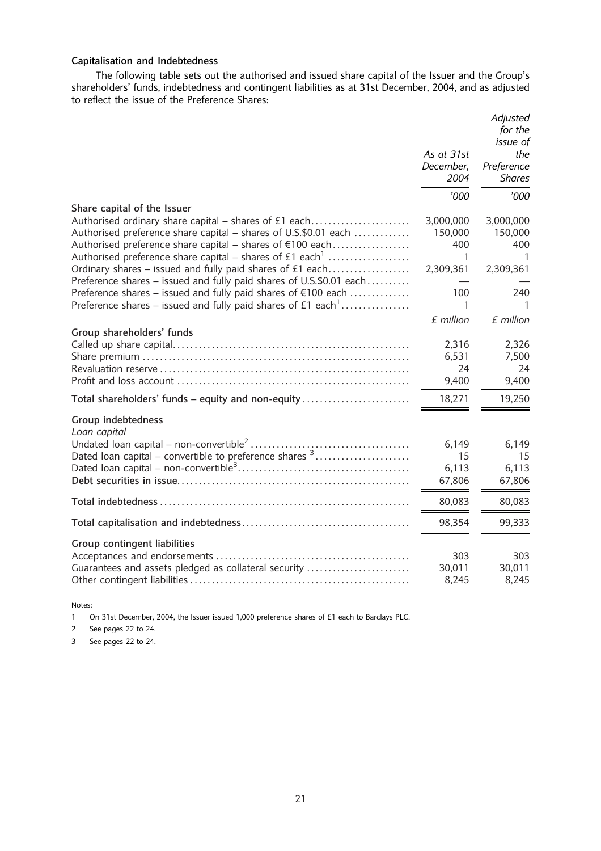## Capitalisation and Indebtedness

The following table sets out the authorised and issued share capital of the Issuer and the Group's shareholders' funds, indebtedness and contingent liabilities as at 31st December, 2004, and as adjusted to reflect the issue of the Preference Shares:

|                                                                                                                                                                                                                                                                                                                                                             | As at 31st<br>December,<br>2004               | Adjusted<br>for the<br>issue of<br>the<br>Preference<br><b>Shares</b> |
|-------------------------------------------------------------------------------------------------------------------------------------------------------------------------------------------------------------------------------------------------------------------------------------------------------------------------------------------------------------|-----------------------------------------------|-----------------------------------------------------------------------|
|                                                                                                                                                                                                                                                                                                                                                             | '000                                          | '000                                                                  |
| Share capital of the Issuer<br>Authorised ordinary share capital – shares of £1 each<br>Authorised preference share capital – shares of U.S.\$0.01 each<br>Authorised preference share capital – shares of €100 each<br>Authorised preference share capital – shares of $£1$ each <sup>1</sup><br>Ordinary shares – issued and fully paid shares of £1 each | 3,000,000<br>150,000<br>400<br>1<br>2,309,361 | 3,000,000<br>150,000<br>400<br>1<br>2,309,361                         |
| Preference shares – issued and fully paid shares of U.S.\$0.01 each<br>Preference shares – issued and fully paid shares of €100 each<br>Preference shares – issued and fully paid shares of £1 each <sup>1</sup>                                                                                                                                            | 100<br>1                                      | 240                                                                   |
|                                                                                                                                                                                                                                                                                                                                                             | £ million                                     | £ million                                                             |
| Group shareholders' funds                                                                                                                                                                                                                                                                                                                                   | 2,316<br>6,531<br>24<br>9,400                 | 2,326<br>7,500<br>24<br>9,400                                         |
| Total shareholders' funds – equity and non-equity                                                                                                                                                                                                                                                                                                           | 18,271                                        | 19,250                                                                |
| Group indebtedness<br>Loan capital<br>Dated loan capital – convertible to preference shares $3$                                                                                                                                                                                                                                                             | 6,149<br>15<br>6,113<br>67,806                | 6,149<br>15<br>6,113<br>67,806                                        |
|                                                                                                                                                                                                                                                                                                                                                             | 80,083                                        | 80,083                                                                |
|                                                                                                                                                                                                                                                                                                                                                             | 98,354                                        | 99,333                                                                |
| Group contingent liabilities<br>Guarantees and assets pledged as collateral security                                                                                                                                                                                                                                                                        | 303<br>30,011<br>8,245                        | 303<br>30,011<br>8,245                                                |

Notes:

1 On 31st December, 2004, the Issuer issued 1,000 preference shares of £1 each to Barclays PLC.

2 See pages 22 to 24.

3 See pages 22 to 24.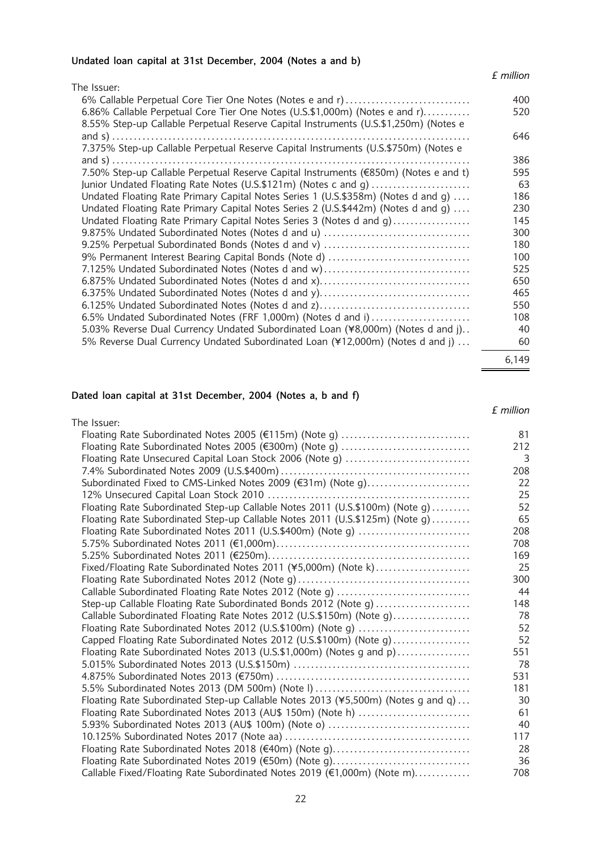## Undated loan capital at 31st December, 2004 (Notes a and b)

## £ million

| The Issuer:                                                                                            |            |
|--------------------------------------------------------------------------------------------------------|------------|
| 6% Callable Perpetual Core Tier One Notes (Notes e and r)                                              | 400        |
| 6.86% Callable Perpetual Core Tier One Notes (U.S.\$1,000m) (Notes e and r)                            | 520        |
| 8.55% Step-up Callable Perpetual Reserve Capital Instruments (U.S.\$1,250m) (Notes e                   |            |
|                                                                                                        | 646        |
| 7.375% Step-up Callable Perpetual Reserve Capital Instruments (U.S.\$750m) (Notes e                    |            |
|                                                                                                        | 386        |
| 7.50% Step-up Callable Perpetual Reserve Capital Instruments (€850m) (Notes e and t)                   | 595        |
| Junior Undated Floating Rate Notes (U.S.\$121m) (Notes c and g)                                        | 63         |
| Undated Floating Rate Primary Capital Notes Series 1 (U.S.\$358m) (Notes d and g)                      | 186        |
| Undated Floating Rate Primary Capital Notes Series 2 (U.S.\$442m) (Notes d and q)                      | 230        |
| Undated Floating Rate Primary Capital Notes Series 3 (Notes d and g)                                   | 145        |
| 9.875% Undated Subordinated Notes (Notes d and u)                                                      | 300        |
|                                                                                                        | 180        |
| 9% Permanent Interest Bearing Capital Bonds (Note d)                                                   | 100        |
| 7.125% Undated Subordinated Notes (Notes d and w)                                                      | 525        |
| 6.875% Undated Subordinated Notes (Notes d and x)<br>6.375% Undated Subordinated Notes (Notes d and y) | 650<br>465 |
| 6.125% Undated Subordinated Notes (Notes d and z)                                                      | 550        |
| 6.5% Undated Subordinated Notes (FRF 1,000m) (Notes d and i)                                           | 108        |
| 5.03% Reverse Dual Currency Undated Subordinated Loan (¥8,000m) (Notes d and j)                        | 40         |
| 5% Reverse Dual Currency Undated Subordinated Loan (¥12,000m) (Notes d and j)                          | 60         |
|                                                                                                        |            |
|                                                                                                        | 6,149      |

## Dated loan capital at 31st December, 2004 (Notes a, b and f)

## £ million

| The Issuer:                                                                      |     |
|----------------------------------------------------------------------------------|-----|
| Floating Rate Subordinated Notes 2005 (€115m) (Note g)                           | 81  |
| Floating Rate Subordinated Notes 2005 (€300m) (Note g)                           | 212 |
| Floating Rate Unsecured Capital Loan Stock 2006 (Note g)                         | 3   |
|                                                                                  | 208 |
| Subordinated Fixed to CMS-Linked Notes 2009 (€31m) (Note g)                      | 22  |
|                                                                                  | 25  |
| Floating Rate Subordinated Step-up Callable Notes 2011 (U.S.\$100m) (Note q)     | 52  |
| Floating Rate Subordinated Step-up Callable Notes 2011 (U.S.\$125m) (Note g)     | 65  |
| Floating Rate Subordinated Notes 2011 (U.S.\$400m) (Note g)                      | 208 |
|                                                                                  | 708 |
|                                                                                  | 169 |
| Fixed/Floating Rate Subordinated Notes 2011 (¥5,000m) (Note k)                   | 25  |
|                                                                                  | 300 |
| Callable Subordinated Floating Rate Notes 2012 (Note g)                          | 44  |
| Step-up Callable Floating Rate Subordinated Bonds 2012 (Note g)                  | 148 |
| Callable Subordinated Floating Rate Notes 2012 (U.S.\$150m) (Note g)             | 78  |
| Floating Rate Subordinated Notes 2012 (U.S.\$100m) (Note g)                      | 52  |
| Capped Floating Rate Subordinated Notes 2012 (U.S.\$100m) (Note g)               | 52  |
| Floating Rate Subordinated Notes 2013 (U.S.\$1,000m) (Notes g and p)             | 551 |
|                                                                                  | 78  |
|                                                                                  | 531 |
| 5.5% Subordinated Notes 2013 (DM 500m) (Note I)                                  | 181 |
| Floating Rate Subordinated Step-up Callable Notes 2013 (¥5,500m) (Notes g and q) | 30  |
| Floating Rate Subordinated Notes 2013 (AU\$ 150m) (Note h)                       | 61  |
| 5.93% Subordinated Notes 2013 (AU\$ 100m) (Note o)                               | 40  |
|                                                                                  | 117 |
| Floating Rate Subordinated Notes 2018 (€40m) (Note g)                            | 28  |
| Floating Rate Subordinated Notes 2019 (€50m) (Note g)                            | 36  |
| Callable Fixed/Floating Rate Subordinated Notes 2019 (€1,000m) (Note m)          | 708 |
|                                                                                  |     |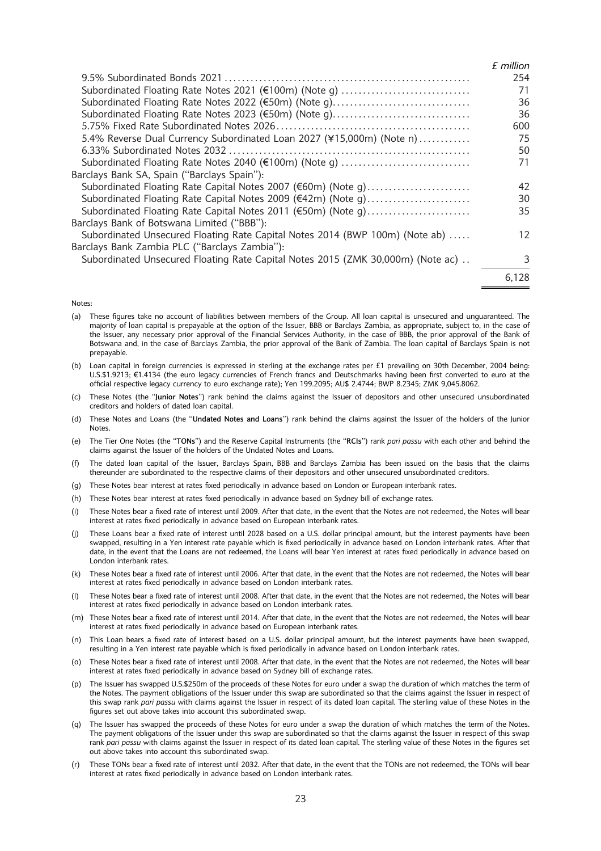|                                                                                 | £ million |
|---------------------------------------------------------------------------------|-----------|
|                                                                                 | 254       |
| Subordinated Floating Rate Notes 2021 (€100m) (Note g)                          | 71        |
| Subordinated Floating Rate Notes 2022 (€50m) (Note g)                           | 36        |
| Subordinated Floating Rate Notes 2023 (€50m) (Note g)                           | 36        |
|                                                                                 | 600       |
| 5.4% Reverse Dual Currency Subordinated Loan 2027 (¥15,000m) (Note n)           | 75        |
|                                                                                 | 50        |
| Subordinated Floating Rate Notes 2040 (€100m) (Note g)                          | 71        |
| Barclays Bank SA, Spain ("Barclays Spain"):                                     |           |
| Subordinated Floating Rate Capital Notes 2007 (€60m) (Note g)                   | 42        |
| Subordinated Floating Rate Capital Notes 2009 (€42m) (Note g)                   | 30        |
| Subordinated Floating Rate Capital Notes 2011 (€50m) (Note g)                   | 35        |
| Barclays Bank of Botswana Limited ("BBB"):                                      |           |
| Subordinated Unsecured Floating Rate Capital Notes 2014 (BWP 100m) (Note ab)    | 12        |
| Barclays Bank Zambia PLC ("Barclays Zambia"):                                   |           |
| Subordinated Unsecured Floating Rate Capital Notes 2015 (ZMK 30,000m) (Note ac) | 3         |
|                                                                                 | 6.128     |

#### Notes:

- (a) These figures take no account of liabilities between members of the Group. All loan capital is unsecured and unguaranteed. The majority of loan capital is prepayable at the option of the Issuer, BBB or Barclays Zambia, as appropriate, subject to, in the case of the Issuer, any necessary prior approval of the Financial Services Authority, in the case of BBB, the prior approval of the Bank of Botswana and, in the case of Barclays Zambia, the prior approval of the Bank of Zambia. The loan capital of Barclays Spain is not prepayable.
- (b) Loan capital in foreign currencies is expressed in sterling at the exchange rates per £1 prevailing on 30th December, 2004 being: U.S.\$1.9213; €1.4134 (the euro legacy currencies of French francs and Deutschmarks having been first converted to euro at the official respective legacy currency to euro exchange rate); Yen 199.2095; AU\$ 2.4744; BWP 8.2345; ZMK 9,045.8062.
- (c) These Notes (the ''Junior Notes'') rank behind the claims against the Issuer of depositors and other unsecured unsubordinated creditors and holders of dated loan capital.
- (d) These Notes and Loans (the ''Undated Notes and Loans'') rank behind the claims against the Issuer of the holders of the Junior **Notes**
- (e) The Tier One Notes (the "TONs") and the Reserve Capital Instruments (the "RCIs") rank pari passu with each other and behind the claims against the Issuer of the holders of the Undated Notes and Loans.
- (f) The dated loan capital of the Issuer, Barclays Spain, BBB and Barclays Zambia has been issued on the basis that the claims thereunder are subordinated to the respective claims of their depositors and other unsecured unsubordinated creditors.
- (g) These Notes bear interest at rates fixed periodically in advance based on London or European interbank rates.
- (h) These Notes bear interest at rates fixed periodically in advance based on Sydney bill of exchange rates.
- (i) These Notes bear a fixed rate of interest until 2009. After that date, in the event that the Notes are not redeemed, the Notes will bear interest at rates fixed periodically in advance based on European interbank rates.
- (j) These Loans bear a fixed rate of interest until 2028 based on a U.S. dollar principal amount, but the interest payments have been swapped, resulting in a Yen interest rate payable which is fixed periodically in advance based on London interbank rates. After that date, in the event that the Loans are not redeemed, the Loans will bear Yen interest at rates fixed periodically in advance based on London interbank rates.
- (k) These Notes bear a fixed rate of interest until 2006. After that date, in the event that the Notes are not redeemed, the Notes will bear interest at rates fixed periodically in advance based on London interbank rates.
- (l) These Notes bear a fixed rate of interest until 2008. After that date, in the event that the Notes are not redeemed, the Notes will bear interest at rates fixed periodically in advance based on London interbank rates.
- (m) These Notes bear a fixed rate of interest until 2014. After that date, in the event that the Notes are not redeemed, the Notes will bear interest at rates fixed periodically in advance based on European interbank rates.
- (n) This Loan bears a fixed rate of interest based on a U.S. dollar principal amount, but the interest payments have been swapped, resulting in a Yen interest rate payable which is fixed periodically in advance based on London interbank rates.
- (o) These Notes bear a fixed rate of interest until 2008. After that date, in the event that the Notes are not redeemed, the Notes will bear interest at rates fixed periodically in advance based on Sydney bill of exchange rates.
- (p) The Issuer has swapped U.S.\$250m of the proceeds of these Notes for euro under a swap the duration of which matches the term of the Notes. The payment obligations of the Issuer under this swap are subordinated so that the claims against the Issuer in respect of this swap rank pari passu with claims against the Issuer in respect of its dated loan capital. The sterling value of these Notes in the figures set out above takes into account this subordinated swap.
- (q) The Issuer has swapped the proceeds of these Notes for euro under a swap the duration of which matches the term of the Notes. The payment obligations of the Issuer under this swap are subordinated so that the claims against the Issuer in respect of this swap rank pari passu with claims against the Issuer in respect of its dated loan capital. The sterling value of these Notes in the figures set out above takes into account this subordinated swap.
- (r) These TONs bear a fixed rate of interest until 2032. After that date, in the event that the TONs are not redeemed, the TONs will bear interest at rates fixed periodically in advance based on London interbank rates.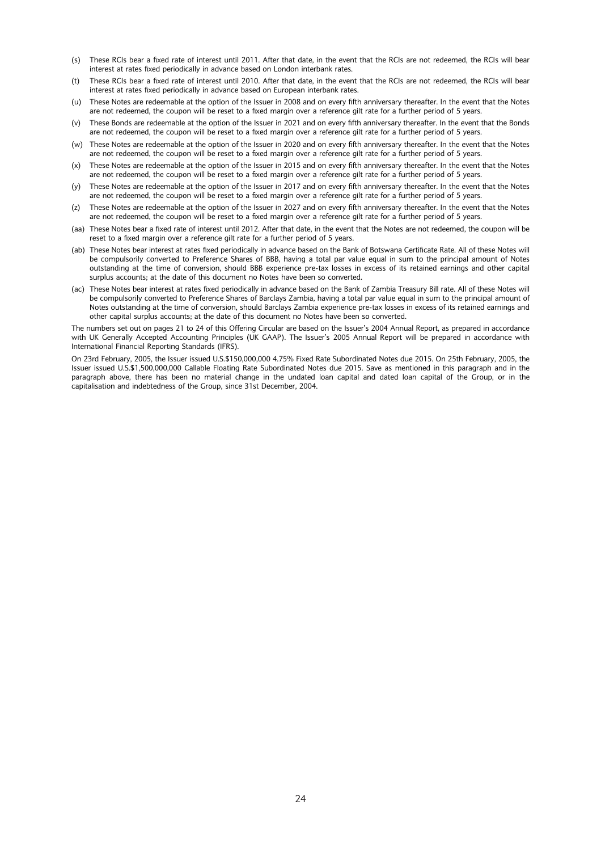- (s) These RCIs bear a fixed rate of interest until 2011. After that date, in the event that the RCIs are not redeemed, the RCIs will bear interest at rates fixed periodically in advance based on London interbank rates.
- (t) These RCIs bear a fixed rate of interest until 2010. After that date, in the event that the RCIs are not redeemed, the RCIs will bear interest at rates fixed periodically in advance based on European interbank rates.
- (u) These Notes are redeemable at the option of the Issuer in 2008 and on every fifth anniversary thereafter. In the event that the Notes are not redeemed, the coupon will be reset to a fixed margin over a reference gilt rate for a further period of 5 years.
- (v) These Bonds are redeemable at the option of the Issuer in 2021 and on every fifth anniversary thereafter. In the event that the Bonds are not redeemed, the coupon will be reset to a fixed margin over a reference gilt rate for a further period of 5 years.
- (w) These Notes are redeemable at the option of the Issuer in 2020 and on every fifth anniversary thereafter. In the event that the Notes are not redeemed, the coupon will be reset to a fixed margin over a reference gilt rate for a further period of 5 years.
- (x) These Notes are redeemable at the option of the Issuer in 2015 and on every fifth anniversary thereafter. In the event that the Notes are not redeemed, the coupon will be reset to a fixed margin over a reference gilt rate for a further period of 5 years.
- (y) These Notes are redeemable at the option of the Issuer in 2017 and on every fifth anniversary thereafter. In the event that the Notes are not redeemed, the coupon will be reset to a fixed margin over a reference gilt rate for a further period of 5 years.
- (z) These Notes are redeemable at the option of the Issuer in 2027 and on every fifth anniversary thereafter. In the event that the Notes are not redeemed, the coupon will be reset to a fixed margin over a reference gilt rate for a further period of 5 years.
- (aa) These Notes bear a fixed rate of interest until 2012. After that date, in the event that the Notes are not redeemed, the coupon will be reset to a fixed margin over a reference gilt rate for a further period of 5 years.
- (ab) These Notes bear interest at rates fixed periodically in advance based on the Bank of Botswana Certificate Rate. All of these Notes will be compulsorily converted to Preference Shares of BBB, having a total par value equal in sum to the principal amount of Notes outstanding at the time of conversion, should BBB experience pre-tax losses in excess of its retained earnings and other capital surplus accounts; at the date of this document no Notes have been so converted.
- (ac) These Notes bear interest at rates fixed periodically in advance based on the Bank of Zambia Treasury Bill rate. All of these Notes will be compulsorily converted to Preference Shares of Barclays Zambia, having a total par value equal in sum to the principal amount of Notes outstanding at the time of conversion, should Barclays Zambia experience pre-tax losses in excess of its retained earnings and other capital surplus accounts; at the date of this document no Notes have been so converted.

The numbers set out on pages 21 to 24 of this Offering Circular are based on the Issuer's 2004 Annual Report, as prepared in accordance with UK Generally Accepted Accounting Principles (UK GAAP). The Issuer's 2005 Annual Report will be prepared in accordance with International Financial Reporting Standards (IFRS).

On 23rd February, 2005, the Issuer issued U.S.\$150,000,000 4.75% Fixed Rate Subordinated Notes due 2015. On 25th February, 2005, the Issuer issued U.S.\$1,500,000,000 Callable Floating Rate Subordinated Notes due 2015. Save as mentioned in this paragraph and in the paragraph above, there has been no material change in the undated loan capital and dated loan capital of the Group, or in the capitalisation and indebtedness of the Group, since 31st December, 2004.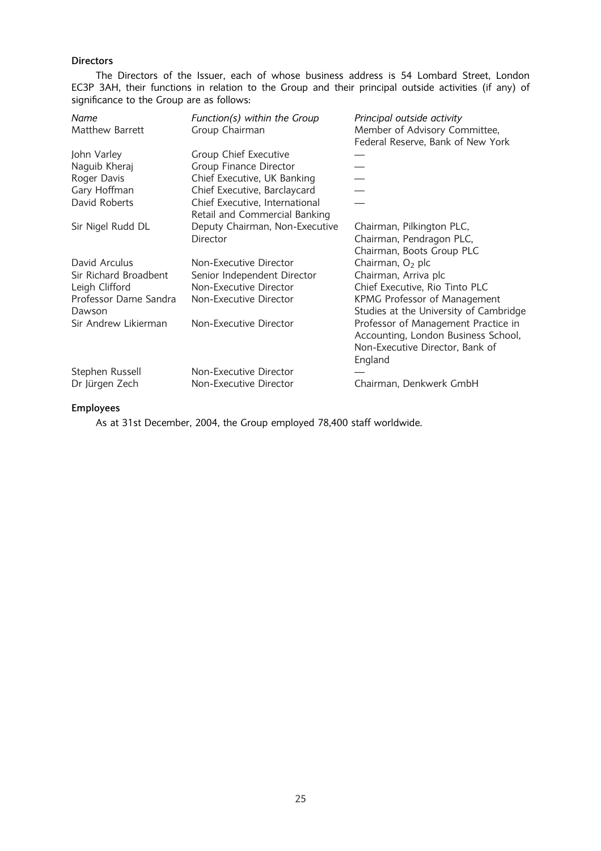## Directors

The Directors of the Issuer, each of whose business address is 54 Lombard Street, London EC3P 3AH, their functions in relation to the Group and their principal outside activities (if any) of significance to the Group are as follows:

| Name                  | Function(s) within the Group   | Principal outside activity             |
|-----------------------|--------------------------------|----------------------------------------|
| Matthew Barrett       | Group Chairman                 | Member of Advisory Committee,          |
|                       |                                | Federal Reserve, Bank of New York      |
| John Varley           | Group Chief Executive          |                                        |
| Naguib Kheraj         | Group Finance Director         |                                        |
| Roger Davis           | Chief Executive, UK Banking    |                                        |
| Gary Hoffman          | Chief Executive, Barclaycard   |                                        |
| David Roberts         | Chief Executive, International |                                        |
|                       | Retail and Commercial Banking  |                                        |
| Sir Nigel Rudd DL     | Deputy Chairman, Non-Executive | Chairman, Pilkington PLC,              |
|                       | Director                       | Chairman, Pendragon PLC,               |
|                       |                                | Chairman, Boots Group PLC              |
| David Arculus         | Non-Executive Director         | Chairman, $O2$ plc                     |
| Sir Richard Broadbent | Senior Independent Director    | Chairman, Arriva plc                   |
| Leigh Clifford        | Non-Executive Director         | Chief Executive, Rio Tinto PLC         |
| Professor Dame Sandra | Non-Executive Director         | KPMG Professor of Management           |
| Dawson                |                                | Studies at the University of Cambridge |
| Sir Andrew Likierman  | Non-Executive Director         | Professor of Management Practice in    |
|                       |                                | Accounting, London Business School,    |
|                       |                                | Non-Executive Director, Bank of        |
|                       |                                | England                                |
| Stephen Russell       | Non-Executive Director         |                                        |
| Dr Jürgen Zech        | Non-Executive Director         | Chairman, Denkwerk GmbH                |
|                       |                                |                                        |

## Employees

As at 31st December, 2004, the Group employed 78,400 staff worldwide.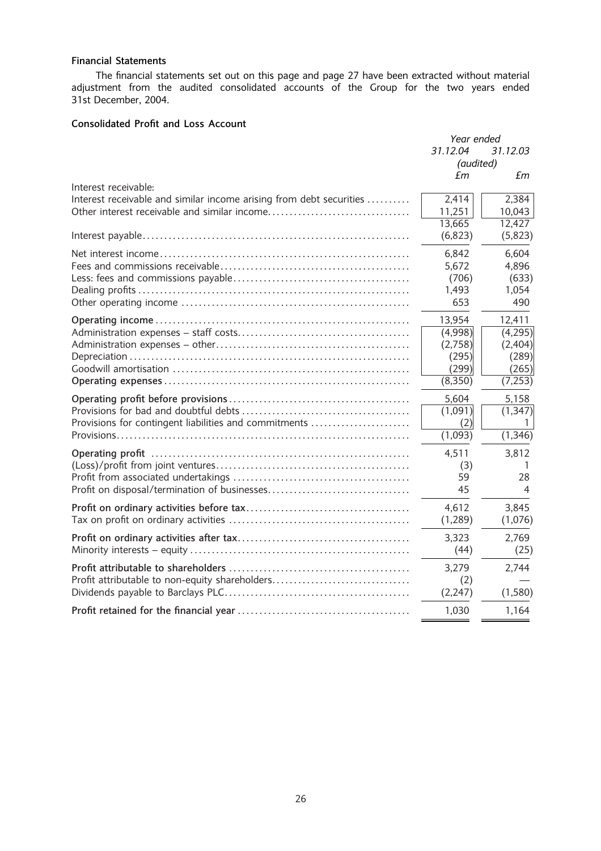## Financial Statements

The financial statements set out on this page and page 27 have been extracted without material adjustment from the audited consolidated accounts of the Group for the two years ended 31st December, 2004.

## Consolidated Profit and Loss Account

|                                                                     | Year ended |          |
|---------------------------------------------------------------------|------------|----------|
|                                                                     | 31.12.04   | 31.12.03 |
|                                                                     | (audited)  |          |
|                                                                     | £m         | £m       |
| Interest receivable:                                                |            |          |
| Interest receivable and similar income arising from debt securities | 2,414      | 2,384    |
|                                                                     | 11,251     | 10,043   |
|                                                                     | 13,665     | 12,427   |
|                                                                     | (6, 823)   | (5,823)  |
|                                                                     | 6,842      | 6,604    |
|                                                                     | 5,672      | 4,896    |
|                                                                     | (706)      | (633)    |
|                                                                     | 1,493      | 1,054    |
|                                                                     | 653        | 490      |
|                                                                     | 13,954     | 12,411   |
|                                                                     | (4,998)    | (4,295)  |
|                                                                     | (2,758)    | (2,404)  |
|                                                                     | (295)      | (289)    |
|                                                                     | (299)      | (265)    |
|                                                                     | (8,350)    | (7,253)  |
|                                                                     |            |          |
|                                                                     | 5,604      | 5,158    |
|                                                                     | (1,091)    | (1, 347) |
| Provisions for contingent liabilities and commitments               | (2)        | 1        |
|                                                                     | (1,093)    | (1, 346) |
|                                                                     | 4,511      | 3,812    |
|                                                                     | (3)        |          |
|                                                                     | 59         | 28       |
|                                                                     | 45         | 4        |
|                                                                     | 4,612      |          |
|                                                                     | (1, 289)   | 3,845    |
|                                                                     |            | (1,076)  |
|                                                                     | 3,323      | 2,769    |
|                                                                     | (44)       | (25)     |
|                                                                     | 3,279      | 2,744    |
| Profit attributable to non-equity shareholders                      | (2)        |          |
|                                                                     | (2, 247)   | (1,580)  |
|                                                                     | 1,030      | 1,164    |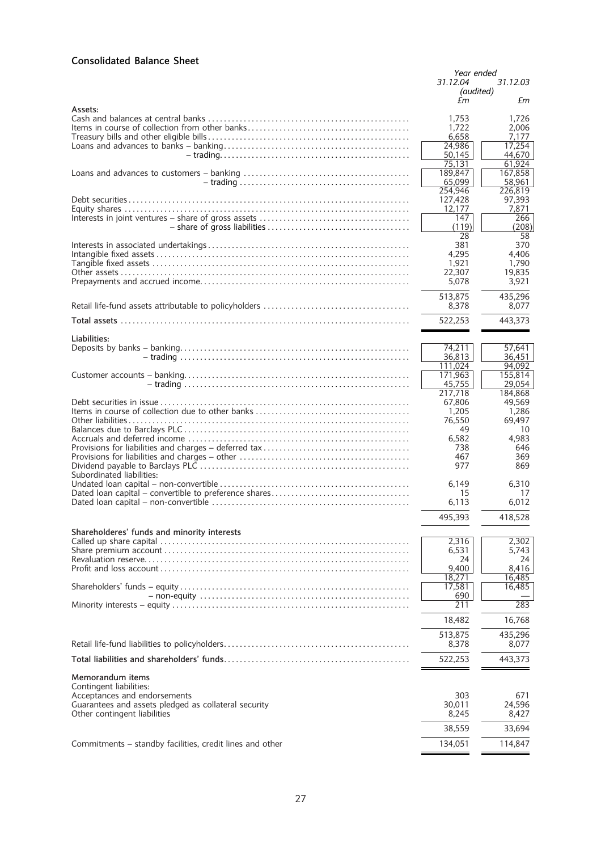## Consolidated Balance Sheet

|                                                          | Year ended<br>31.12.04<br>31.12.03 |                   |
|----------------------------------------------------------|------------------------------------|-------------------|
|                                                          | (audited)                          |                   |
| Assets:                                                  | £m                                 | £m                |
|                                                          | 1,753                              | 1,726             |
|                                                          | 1,722<br>6,658                     | 2.006<br>7.177    |
|                                                          | 24,986                             | 17,254            |
|                                                          | 50,145<br>75,131                   | 44,670<br>61,924  |
|                                                          | 189,847<br>65.099                  | 167,858           |
|                                                          | 254,946                            | 58,961<br>226.819 |
|                                                          | 127,428<br>12.177                  | 97,393<br>7,871   |
|                                                          | 147                                | 266               |
|                                                          | (119)                              | (208)             |
|                                                          | 28<br>381                          | 58<br>370         |
|                                                          | 4,295                              | 4,406             |
|                                                          | 1,921<br>22,307                    | 1,790<br>19,835   |
|                                                          | 5,078                              | 3,921             |
|                                                          | 513,875                            | 435,296           |
|                                                          | 8.378                              | 8,077             |
|                                                          | 522,253                            | 443,373           |
| Liabilities:                                             |                                    |                   |
|                                                          | 74,211<br>36,813                   | 57,641<br>36,451  |
|                                                          | 111.024                            | 94.092            |
|                                                          | 171,963<br>45,755                  | 155,814<br>29,054 |
|                                                          | 217.718                            | 184.868           |
|                                                          | 67,806<br>1,205                    | 49,569<br>1,286   |
|                                                          | 76,550                             | 69,497            |
|                                                          | 49                                 | 10                |
|                                                          | 6,582<br>738                       | 4,983<br>646      |
|                                                          | 467<br>977                         | 369               |
| Subordinated liabilities:                                |                                    | 869               |
|                                                          | 6,149                              | 6,310             |
|                                                          | 15<br>6,113                        | 17<br>6,012       |
|                                                          | 495,393                            | 418,528           |
| Shareholderes' funds and minority interests              |                                    |                   |
|                                                          | 2,316                              | 2,302             |
|                                                          | 6,531<br>24                        | 5,743<br>24       |
|                                                          | 9,400                              | 8,416             |
|                                                          | 18,271<br>17,581                   | 16,485<br>16,485  |
|                                                          | 690                                |                   |
|                                                          | 211                                | 283               |
|                                                          | 18,482                             | 16,768            |
|                                                          | 513,875                            | 435,296           |
|                                                          | 8,378                              | 8,077             |
|                                                          | 522,253                            | 443,373           |
| Memorandum items                                         |                                    |                   |
| Contingent liabilities:<br>Acceptances and endorsements  | 303                                | 671               |
| Guarantees and assets pledged as collateral security     | 30,011                             | 24,596            |
| Other contingent liabilities                             | 8,245                              | 8,427             |
|                                                          | 38,559                             | 33,694            |
| Commitments - standby facilities, credit lines and other | 134,051                            | 114,847           |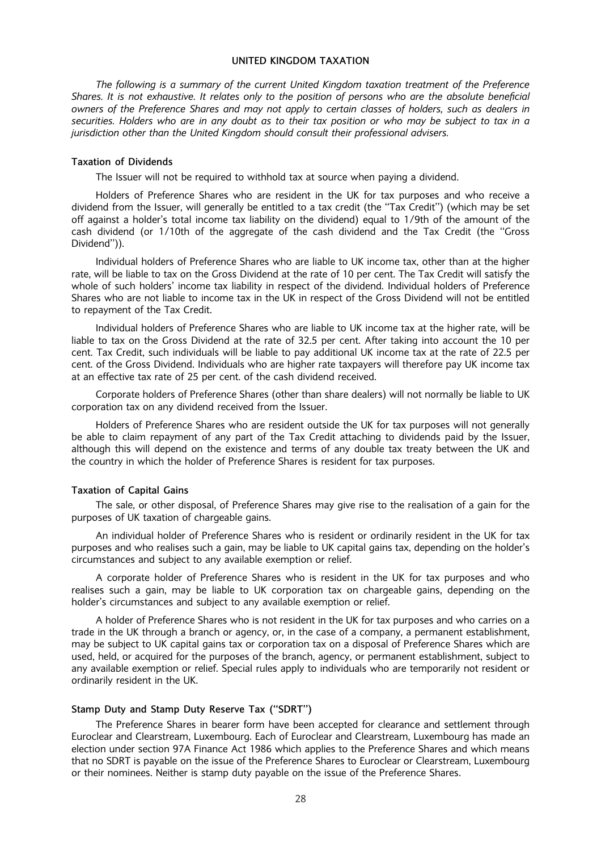## UNITED KINGDOM TAXATION

The following is a summary of the current United Kingdom taxation treatment of the Preference Shares. It is not exhaustive. It relates only to the position of persons who are the absolute beneficial owners of the Preference Shares and may not apply to certain classes of holders, such as dealers in securities. Holders who are in any doubt as to their tax position or who may be subject to tax in a jurisdiction other than the United Kingdom should consult their professional advisers.

#### Taxation of Dividends

The Issuer will not be required to withhold tax at source when paying a dividend.

Holders of Preference Shares who are resident in the UK for tax purposes and who receive a dividend from the Issuer, will generally be entitled to a tax credit (the ''Tax Credit'') (which may be set off against a holder's total income tax liability on the dividend) equal to 1/9th of the amount of the cash dividend (or 1/10th of the aggregate of the cash dividend and the Tax Credit (the ''Gross Dividend'')).

Individual holders of Preference Shares who are liable to UK income tax, other than at the higher rate, will be liable to tax on the Gross Dividend at the rate of 10 per cent. The Tax Credit will satisfy the whole of such holders' income tax liability in respect of the dividend. Individual holders of Preference Shares who are not liable to income tax in the UK in respect of the Gross Dividend will not be entitled to repayment of the Tax Credit.

Individual holders of Preference Shares who are liable to UK income tax at the higher rate, will be liable to tax on the Gross Dividend at the rate of 32.5 per cent. After taking into account the 10 per cent. Tax Credit, such individuals will be liable to pay additional UK income tax at the rate of 22.5 per cent. of the Gross Dividend. Individuals who are higher rate taxpayers will therefore pay UK income tax at an effective tax rate of 25 per cent. of the cash dividend received.

Corporate holders of Preference Shares (other than share dealers) will not normally be liable to UK corporation tax on any dividend received from the Issuer.

Holders of Preference Shares who are resident outside the UK for tax purposes will not generally be able to claim repayment of any part of the Tax Credit attaching to dividends paid by the Issuer, although this will depend on the existence and terms of any double tax treaty between the UK and the country in which the holder of Preference Shares is resident for tax purposes.

#### Taxation of Capital Gains

The sale, or other disposal, of Preference Shares may give rise to the realisation of a gain for the purposes of UK taxation of chargeable gains.

An individual holder of Preference Shares who is resident or ordinarily resident in the UK for tax purposes and who realises such a gain, may be liable to UK capital gains tax, depending on the holder's circumstances and subject to any available exemption or relief.

A corporate holder of Preference Shares who is resident in the UK for tax purposes and who realises such a gain, may be liable to UK corporation tax on chargeable gains, depending on the holder's circumstances and subject to any available exemption or relief.

A holder of Preference Shares who is not resident in the UK for tax purposes and who carries on a trade in the UK through a branch or agency, or, in the case of a company, a permanent establishment, may be subject to UK capital gains tax or corporation tax on a disposal of Preference Shares which are used, held, or acquired for the purposes of the branch, agency, or permanent establishment, subject to any available exemption or relief. Special rules apply to individuals who are temporarily not resident or ordinarily resident in the UK.

#### Stamp Duty and Stamp Duty Reserve Tax (''SDRT'')

The Preference Shares in bearer form have been accepted for clearance and settlement through Euroclear and Clearstream, Luxembourg. Each of Euroclear and Clearstream, Luxembourg has made an election under section 97A Finance Act 1986 which applies to the Preference Shares and which means that no SDRT is payable on the issue of the Preference Shares to Euroclear or Clearstream, Luxembourg or their nominees. Neither is stamp duty payable on the issue of the Preference Shares.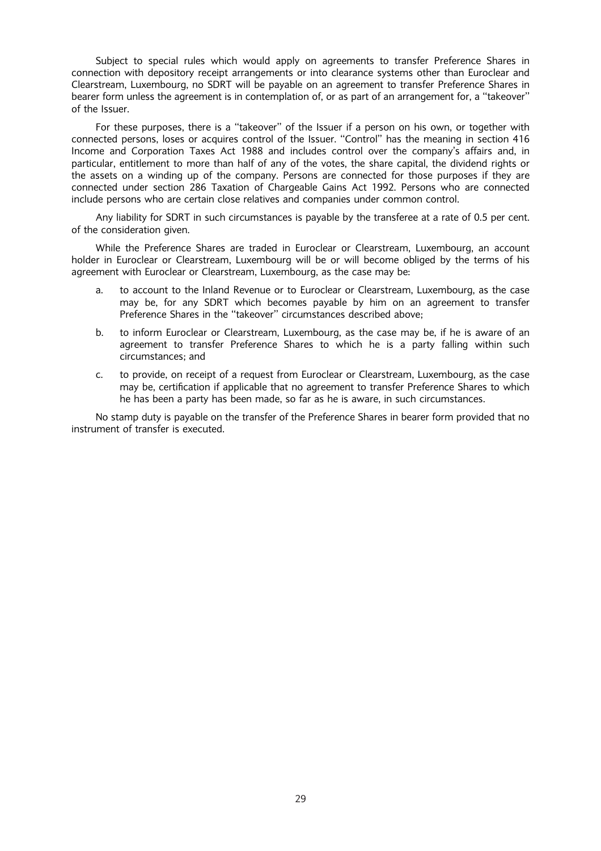Subject to special rules which would apply on agreements to transfer Preference Shares in connection with depository receipt arrangements or into clearance systems other than Euroclear and Clearstream, Luxembourg, no SDRT will be payable on an agreement to transfer Preference Shares in bearer form unless the agreement is in contemplation of, or as part of an arrangement for, a ''takeover'' of the Issuer.

For these purposes, there is a ''takeover'' of the Issuer if a person on his own, or together with connected persons, loses or acquires control of the Issuer. ''Control'' has the meaning in section 416 Income and Corporation Taxes Act 1988 and includes control over the company's affairs and, in particular, entitlement to more than half of any of the votes, the share capital, the dividend rights or the assets on a winding up of the company. Persons are connected for those purposes if they are connected under section 286 Taxation of Chargeable Gains Act 1992. Persons who are connected include persons who are certain close relatives and companies under common control.

Any liability for SDRT in such circumstances is payable by the transferee at a rate of 0.5 per cent. of the consideration given.

While the Preference Shares are traded in Euroclear or Clearstream, Luxembourg, an account holder in Euroclear or Clearstream, Luxembourg will be or will become obliged by the terms of his agreement with Euroclear or Clearstream, Luxembourg, as the case may be:

- a. to account to the Inland Revenue or to Euroclear or Clearstream, Luxembourg, as the case may be, for any SDRT which becomes payable by him on an agreement to transfer Preference Shares in the ''takeover'' circumstances described above;
- b. to inform Euroclear or Clearstream, Luxembourg, as the case may be, if he is aware of an agreement to transfer Preference Shares to which he is a party falling within such circumstances; and
- c. to provide, on receipt of a request from Euroclear or Clearstream, Luxembourg, as the case may be, certification if applicable that no agreement to transfer Preference Shares to which he has been a party has been made, so far as he is aware, in such circumstances.

No stamp duty is payable on the transfer of the Preference Shares in bearer form provided that no instrument of transfer is executed.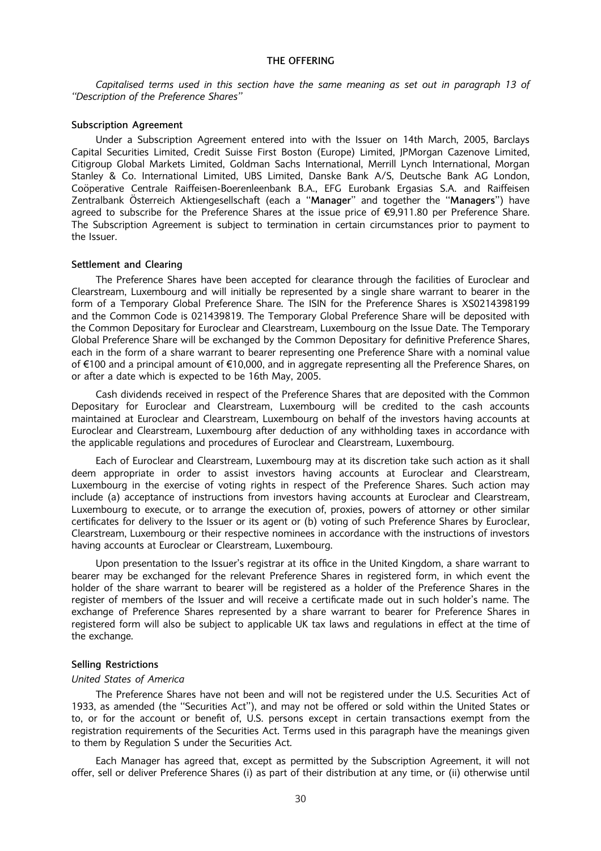## THE OFFERING

Capitalised terms used in this section have the same meaning as set out in paragraph 13 of ''Description of the Preference Shares''

#### Subscription Agreement

Under a Subscription Agreement entered into with the Issuer on 14th March, 2005, Barclays Capital Securities Limited, Credit Suisse First Boston (Europe) Limited, JPMorgan Cazenove Limited, Citigroup Global Markets Limited, Goldman Sachs International, Merrill Lynch International, Morgan Stanley & Co. International Limited, UBS Limited, Danske Bank A/S, Deutsche Bank AG London, Coöperative Centrale Raiffeisen-Boerenleenbank B.A., EFG Eurobank Ergasias S.A. and Raiffeisen Zentralbank Österreich Aktiengesellschaft (each a "Manager" and together the "Managers") have agreed to subscribe for the Preference Shares at the issue price of  $\epsilon$ 9,911.80 per Preference Share. The Subscription Agreement is subject to termination in certain circumstances prior to payment to the Issuer.

#### Settlement and Clearing

The Preference Shares have been accepted for clearance through the facilities of Euroclear and Clearstream, Luxembourg and will initially be represented by a single share warrant to bearer in the form of a Temporary Global Preference Share. The ISIN for the Preference Shares is XS0214398199 and the Common Code is 021439819. The Temporary Global Preference Share will be deposited with the Common Depositary for Euroclear and Clearstream, Luxembourg on the Issue Date. The Temporary Global Preference Share will be exchanged by the Common Depositary for definitive Preference Shares, each in the form of a share warrant to bearer representing one Preference Share with a nominal value of  $\epsilon$ 100 and a principal amount of  $\epsilon$ 10,000, and in aggregate representing all the Preference Shares, on or after a date which is expected to be 16th May, 2005.

Cash dividends received in respect of the Preference Shares that are deposited with the Common Depositary for Euroclear and Clearstream, Luxembourg will be credited to the cash accounts maintained at Euroclear and Clearstream, Luxembourg on behalf of the investors having accounts at Euroclear and Clearstream, Luxembourg after deduction of any withholding taxes in accordance with the applicable regulations and procedures of Euroclear and Clearstream, Luxembourg.

Each of Euroclear and Clearstream, Luxembourg may at its discretion take such action as it shall deem appropriate in order to assist investors having accounts at Euroclear and Clearstream, Luxembourg in the exercise of voting rights in respect of the Preference Shares. Such action may include (a) acceptance of instructions from investors having accounts at Euroclear and Clearstream, Luxembourg to execute, or to arrange the execution of, proxies, powers of attorney or other similar certificates for delivery to the Issuer or its agent or (b) voting of such Preference Shares by Euroclear, Clearstream, Luxembourg or their respective nominees in accordance with the instructions of investors having accounts at Euroclear or Clearstream, Luxembourg.

Upon presentation to the Issuer's registrar at its office in the United Kingdom, a share warrant to bearer may be exchanged for the relevant Preference Shares in registered form, in which event the holder of the share warrant to bearer will be registered as a holder of the Preference Shares in the register of members of the Issuer and will receive a certificate made out in such holder's name. The exchange of Preference Shares represented by a share warrant to bearer for Preference Shares in registered form will also be subject to applicable UK tax laws and regulations in effect at the time of the exchange.

#### Selling Restrictions

#### United States of America

The Preference Shares have not been and will not be registered under the U.S. Securities Act of 1933, as amended (the ''Securities Act''), and may not be offered or sold within the United States or to, or for the account or benefit of, U.S. persons except in certain transactions exempt from the registration requirements of the Securities Act. Terms used in this paragraph have the meanings given to them by Regulation S under the Securities Act.

Each Manager has agreed that, except as permitted by the Subscription Agreement, it will not offer, sell or deliver Preference Shares (i) as part of their distribution at any time, or (ii) otherwise until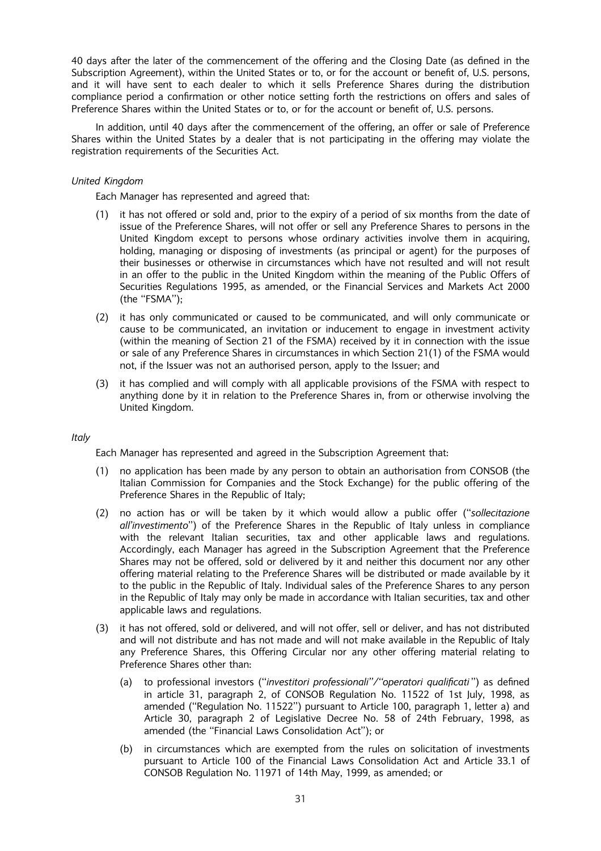40 days after the later of the commencement of the offering and the Closing Date (as defined in the Subscription Agreement), within the United States or to, or for the account or benefit of, U.S. persons, and it will have sent to each dealer to which it sells Preference Shares during the distribution compliance period a confirmation or other notice setting forth the restrictions on offers and sales of Preference Shares within the United States or to, or for the account or benefit of, U.S. persons.

In addition, until 40 days after the commencement of the offering, an offer or sale of Preference Shares within the United States by a dealer that is not participating in the offering may violate the registration requirements of the Securities Act.

## United Kingdom

Each Manager has represented and agreed that:

- (1) it has not offered or sold and, prior to the expiry of a period of six months from the date of issue of the Preference Shares, will not offer or sell any Preference Shares to persons in the United Kingdom except to persons whose ordinary activities involve them in acquiring, holding, managing or disposing of investments (as principal or agent) for the purposes of their businesses or otherwise in circumstances which have not resulted and will not result in an offer to the public in the United Kingdom within the meaning of the Public Offers of Securities Regulations 1995, as amended, or the Financial Services and Markets Act 2000 (the ''FSMA'');
- (2) it has only communicated or caused to be communicated, and will only communicate or cause to be communicated, an invitation or inducement to engage in investment activity (within the meaning of Section 21 of the FSMA) received by it in connection with the issue or sale of any Preference Shares in circumstances in which Section 21(1) of the FSMA would not, if the Issuer was not an authorised person, apply to the Issuer; and
- (3) it has complied and will comply with all applicable provisions of the FSMA with respect to anything done by it in relation to the Preference Shares in, from or otherwise involving the United Kingdom.

## **Italy**

Each Manager has represented and agreed in the Subscription Agreement that:

- (1) no application has been made by any person to obtain an authorisation from CONSOB (the Italian Commission for Companies and the Stock Exchange) for the public offering of the Preference Shares in the Republic of Italy;
- (2) no action has or will be taken by it which would allow a public offer (''sollecitazione all'investimento'') of the Preference Shares in the Republic of Italy unless in compliance with the relevant Italian securities, tax and other applicable laws and regulations. Accordingly, each Manager has agreed in the Subscription Agreement that the Preference Shares may not be offered, sold or delivered by it and neither this document nor any other offering material relating to the Preference Shares will be distributed or made available by it to the public in the Republic of Italy. Individual sales of the Preference Shares to any person in the Republic of Italy may only be made in accordance with Italian securities, tax and other applicable laws and regulations.
- (3) it has not offered, sold or delivered, and will not offer, sell or deliver, and has not distributed and will not distribute and has not made and will not make available in the Republic of Italy any Preference Shares, this Offering Circular nor any other offering material relating to Preference Shares other than:
	- (a) to professional investors (''investitori professionali''/''operatori qualificati '') as defined in article 31, paragraph 2, of CONSOB Regulation No. 11522 of 1st July, 1998, as amended (''Regulation No. 11522'') pursuant to Article 100, paragraph 1, letter a) and Article 30, paragraph 2 of Legislative Decree No. 58 of 24th February, 1998, as amended (the ''Financial Laws Consolidation Act''); or
	- (b) in circumstances which are exempted from the rules on solicitation of investments pursuant to Article 100 of the Financial Laws Consolidation Act and Article 33.1 of CONSOB Regulation No. 11971 of 14th May, 1999, as amended; or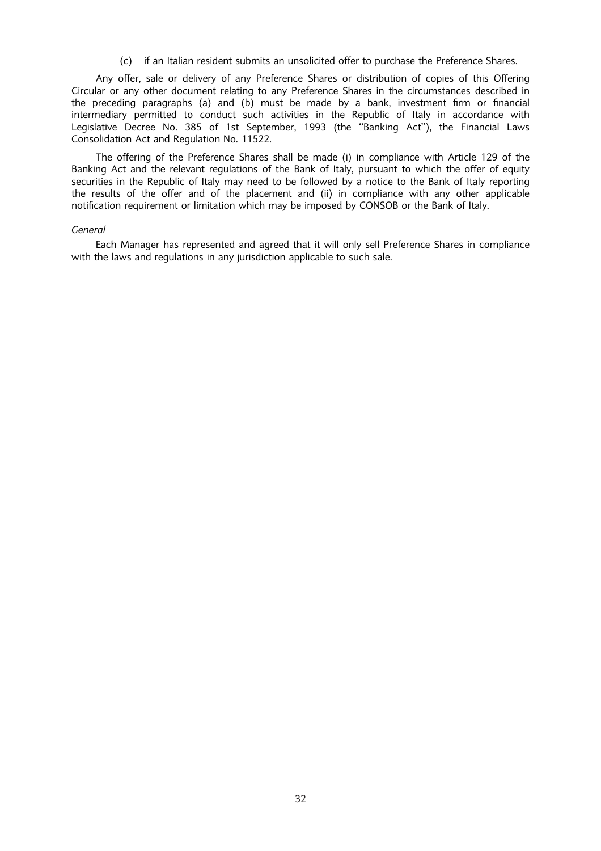(c) if an Italian resident submits an unsolicited offer to purchase the Preference Shares.

Any offer, sale or delivery of any Preference Shares or distribution of copies of this Offering Circular or any other document relating to any Preference Shares in the circumstances described in the preceding paragraphs (a) and (b) must be made by a bank, investment firm or financial intermediary permitted to conduct such activities in the Republic of Italy in accordance with Legislative Decree No. 385 of 1st September, 1993 (the ''Banking Act''), the Financial Laws Consolidation Act and Regulation No. 11522.

The offering of the Preference Shares shall be made (i) in compliance with Article 129 of the Banking Act and the relevant regulations of the Bank of Italy, pursuant to which the offer of equity securities in the Republic of Italy may need to be followed by a notice to the Bank of Italy reporting the results of the offer and of the placement and (ii) in compliance with any other applicable notification requirement or limitation which may be imposed by CONSOB or the Bank of Italy.

#### General

Each Manager has represented and agreed that it will only sell Preference Shares in compliance with the laws and regulations in any jurisdiction applicable to such sale.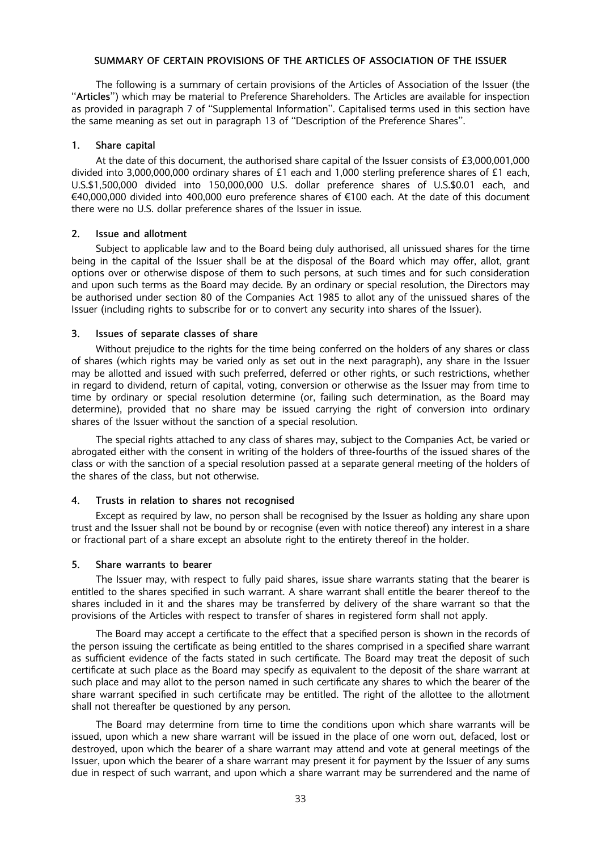## SUMMARY OF CERTAIN PROVISIONS OF THE ARTICLES OF ASSOCIATION OF THE ISSUER

The following is a summary of certain provisions of the Articles of Association of the Issuer (the ''Articles'') which may be material to Preference Shareholders. The Articles are available for inspection as provided in paragraph 7 of ''Supplemental Information''. Capitalised terms used in this section have the same meaning as set out in paragraph 13 of ''Description of the Preference Shares''.

## 1. Share capital

At the date of this document, the authorised share capital of the Issuer consists of £3,000,001,000 divided into 3,000,000,000 ordinary shares of £1 each and 1,000 sterling preference shares of £1 each, U.S.\$1,500,000 divided into 150,000,000 U.S. dollar preference shares of U.S.\$0.01 each, and €40,000,000 divided into 400,000 euro preference shares of €100 each. At the date of this document there were no U.S. dollar preference shares of the Issuer in issue.

#### 2. Issue and allotment

Subject to applicable law and to the Board being duly authorised, all unissued shares for the time being in the capital of the Issuer shall be at the disposal of the Board which may offer, allot, grant options over or otherwise dispose of them to such persons, at such times and for such consideration and upon such terms as the Board may decide. By an ordinary or special resolution, the Directors may be authorised under section 80 of the Companies Act 1985 to allot any of the unissued shares of the Issuer (including rights to subscribe for or to convert any security into shares of the Issuer).

## 3. Issues of separate classes of share

Without prejudice to the rights for the time being conferred on the holders of any shares or class of shares (which rights may be varied only as set out in the next paragraph), any share in the Issuer may be allotted and issued with such preferred, deferred or other rights, or such restrictions, whether in regard to dividend, return of capital, voting, conversion or otherwise as the Issuer may from time to time by ordinary or special resolution determine (or, failing such determination, as the Board may determine), provided that no share may be issued carrying the right of conversion into ordinary shares of the Issuer without the sanction of a special resolution.

The special rights attached to any class of shares may, subject to the Companies Act, be varied or abrogated either with the consent in writing of the holders of three-fourths of the issued shares of the class or with the sanction of a special resolution passed at a separate general meeting of the holders of the shares of the class, but not otherwise.

## 4. Trusts in relation to shares not recognised

Except as required by law, no person shall be recognised by the Issuer as holding any share upon trust and the Issuer shall not be bound by or recognise (even with notice thereof) any interest in a share or fractional part of a share except an absolute right to the entirety thereof in the holder.

#### 5. Share warrants to bearer

The Issuer may, with respect to fully paid shares, issue share warrants stating that the bearer is entitled to the shares specified in such warrant. A share warrant shall entitle the bearer thereof to the shares included in it and the shares may be transferred by delivery of the share warrant so that the provisions of the Articles with respect to transfer of shares in registered form shall not apply.

The Board may accept a certificate to the effect that a specified person is shown in the records of the person issuing the certificate as being entitled to the shares comprised in a specified share warrant as sufficient evidence of the facts stated in such certificate. The Board may treat the deposit of such certificate at such place as the Board may specify as equivalent to the deposit of the share warrant at such place and may allot to the person named in such certificate any shares to which the bearer of the share warrant specified in such certificate may be entitled. The right of the allottee to the allotment shall not thereafter be questioned by any person.

The Board may determine from time to time the conditions upon which share warrants will be issued, upon which a new share warrant will be issued in the place of one worn out, defaced, lost or destroyed, upon which the bearer of a share warrant may attend and vote at general meetings of the Issuer, upon which the bearer of a share warrant may present it for payment by the Issuer of any sums due in respect of such warrant, and upon which a share warrant may be surrendered and the name of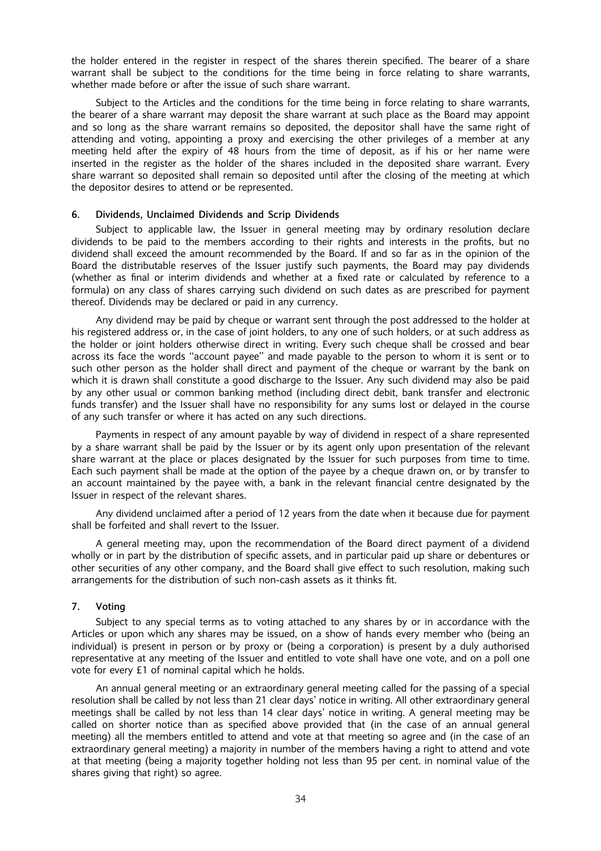the holder entered in the register in respect of the shares therein specified. The bearer of a share warrant shall be subject to the conditions for the time being in force relating to share warrants, whether made before or after the issue of such share warrant.

Subject to the Articles and the conditions for the time being in force relating to share warrants, the bearer of a share warrant may deposit the share warrant at such place as the Board may appoint and so long as the share warrant remains so deposited, the depositor shall have the same right of attending and voting, appointing a proxy and exercising the other privileges of a member at any meeting held after the expiry of 48 hours from the time of deposit, as if his or her name were inserted in the register as the holder of the shares included in the deposited share warrant. Every share warrant so deposited shall remain so deposited until after the closing of the meeting at which the depositor desires to attend or be represented.

## 6. Dividends, Unclaimed Dividends and Scrip Dividends

Subject to applicable law, the Issuer in general meeting may by ordinary resolution declare dividends to be paid to the members according to their rights and interests in the profits, but no dividend shall exceed the amount recommended by the Board. If and so far as in the opinion of the Board the distributable reserves of the Issuer justify such payments, the Board may pay dividends (whether as final or interim dividends and whether at a fixed rate or calculated by reference to a formula) on any class of shares carrying such dividend on such dates as are prescribed for payment thereof. Dividends may be declared or paid in any currency.

Any dividend may be paid by cheque or warrant sent through the post addressed to the holder at his registered address or, in the case of joint holders, to any one of such holders, or at such address as the holder or joint holders otherwise direct in writing. Every such cheque shall be crossed and bear across its face the words ''account payee'' and made payable to the person to whom it is sent or to such other person as the holder shall direct and payment of the cheque or warrant by the bank on which it is drawn shall constitute a good discharge to the Issuer. Any such dividend may also be paid by any other usual or common banking method (including direct debit, bank transfer and electronic funds transfer) and the Issuer shall have no responsibility for any sums lost or delayed in the course of any such transfer or where it has acted on any such directions.

Payments in respect of any amount payable by way of dividend in respect of a share represented by a share warrant shall be paid by the Issuer or by its agent only upon presentation of the relevant share warrant at the place or places designated by the Issuer for such purposes from time to time. Each such payment shall be made at the option of the payee by a cheque drawn on, or by transfer to an account maintained by the payee with, a bank in the relevant financial centre designated by the Issuer in respect of the relevant shares.

Any dividend unclaimed after a period of 12 years from the date when it because due for payment shall be forfeited and shall revert to the Issuer.

A general meeting may, upon the recommendation of the Board direct payment of a dividend wholly or in part by the distribution of specific assets, and in particular paid up share or debentures or other securities of any other company, and the Board shall give effect to such resolution, making such arrangements for the distribution of such non-cash assets as it thinks fit.

## 7. Voting

Subject to any special terms as to voting attached to any shares by or in accordance with the Articles or upon which any shares may be issued, on a show of hands every member who (being an individual) is present in person or by proxy or (being a corporation) is present by a duly authorised representative at any meeting of the Issuer and entitled to vote shall have one vote, and on a poll one vote for every £1 of nominal capital which he holds.

An annual general meeting or an extraordinary general meeting called for the passing of a special resolution shall be called by not less than 21 clear days' notice in writing. All other extraordinary general meetings shall be called by not less than 14 clear days' notice in writing. A general meeting may be called on shorter notice than as specified above provided that (in the case of an annual general meeting) all the members entitled to attend and vote at that meeting so agree and (in the case of an extraordinary general meeting) a majority in number of the members having a right to attend and vote at that meeting (being a majority together holding not less than 95 per cent. in nominal value of the shares giving that right) so agree.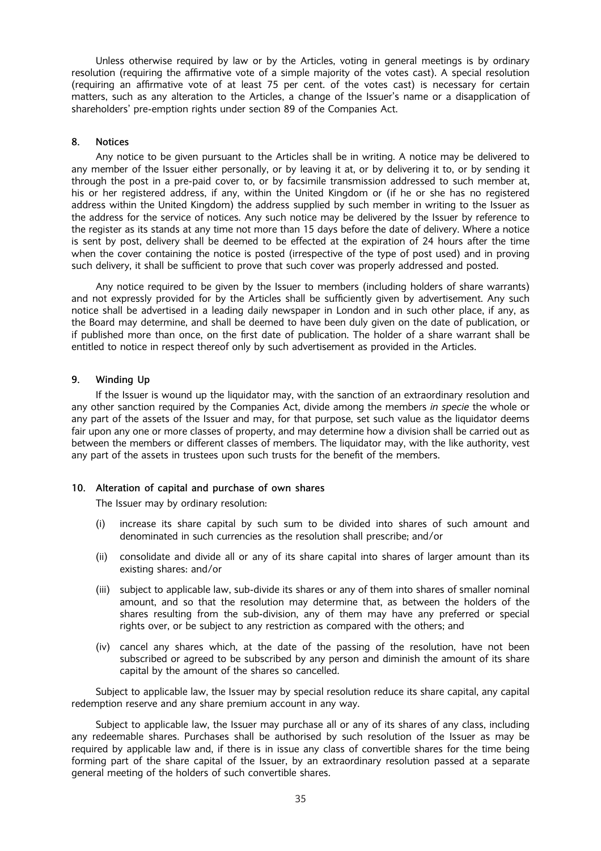Unless otherwise required by law or by the Articles, voting in general meetings is by ordinary resolution (requiring the affirmative vote of a simple majority of the votes cast). A special resolution (requiring an affirmative vote of at least 75 per cent. of the votes cast) is necessary for certain matters, such as any alteration to the Articles, a change of the Issuer's name or a disapplication of shareholders' pre-emption rights under section 89 of the Companies Act.

## 8. Notices

Any notice to be given pursuant to the Articles shall be in writing. A notice may be delivered to any member of the Issuer either personally, or by leaving it at, or by delivering it to, or by sending it through the post in a pre-paid cover to, or by facsimile transmission addressed to such member at, his or her registered address, if any, within the United Kingdom or (if he or she has no registered address within the United Kingdom) the address supplied by such member in writing to the Issuer as the address for the service of notices. Any such notice may be delivered by the Issuer by reference to the register as its stands at any time not more than 15 days before the date of delivery. Where a notice is sent by post, delivery shall be deemed to be effected at the expiration of 24 hours after the time when the cover containing the notice is posted (irrespective of the type of post used) and in proving such delivery, it shall be sufficient to prove that such cover was properly addressed and posted.

Any notice required to be given by the Issuer to members (including holders of share warrants) and not expressly provided for by the Articles shall be sufficiently given by advertisement. Any such notice shall be advertised in a leading daily newspaper in London and in such other place, if any, as the Board may determine, and shall be deemed to have been duly given on the date of publication, or if published more than once, on the first date of publication. The holder of a share warrant shall be entitled to notice in respect thereof only by such advertisement as provided in the Articles.

#### 9. Winding Up

If the Issuer is wound up the liquidator may, with the sanction of an extraordinary resolution and any other sanction required by the Companies Act, divide among the members in specie the whole or any part of the assets of the Issuer and may, for that purpose, set such value as the liquidator deems fair upon any one or more classes of property, and may determine how a division shall be carried out as between the members or different classes of members. The liquidator may, with the like authority, vest any part of the assets in trustees upon such trusts for the benefit of the members.

## 10. Alteration of capital and purchase of own shares

The Issuer may by ordinary resolution:

- (i) increase its share capital by such sum to be divided into shares of such amount and denominated in such currencies as the resolution shall prescribe; and/or
- (ii) consolidate and divide all or any of its share capital into shares of larger amount than its existing shares: and/or
- (iii) subject to applicable law, sub-divide its shares or any of them into shares of smaller nominal amount, and so that the resolution may determine that, as between the holders of the shares resulting from the sub-division, any of them may have any preferred or special rights over, or be subject to any restriction as compared with the others; and
- (iv) cancel any shares which, at the date of the passing of the resolution, have not been subscribed or agreed to be subscribed by any person and diminish the amount of its share capital by the amount of the shares so cancelled.

Subject to applicable law, the Issuer may by special resolution reduce its share capital, any capital redemption reserve and any share premium account in any way.

Subject to applicable law, the Issuer may purchase all or any of its shares of any class, including any redeemable shares. Purchases shall be authorised by such resolution of the Issuer as may be required by applicable law and, if there is in issue any class of convertible shares for the time being forming part of the share capital of the Issuer, by an extraordinary resolution passed at a separate general meeting of the holders of such convertible shares.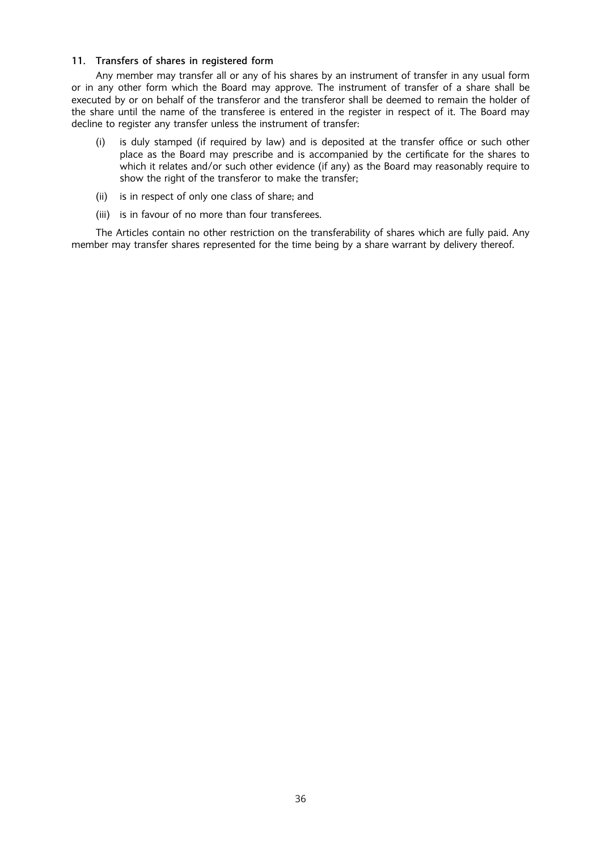## 11. Transfers of shares in registered form

Any member may transfer all or any of his shares by an instrument of transfer in any usual form or in any other form which the Board may approve. The instrument of transfer of a share shall be executed by or on behalf of the transferor and the transferor shall be deemed to remain the holder of the share until the name of the transferee is entered in the register in respect of it. The Board may decline to register any transfer unless the instrument of transfer:

- (i) is duly stamped (if required by law) and is deposited at the transfer office or such other place as the Board may prescribe and is accompanied by the certificate for the shares to which it relates and/or such other evidence (if any) as the Board may reasonably require to show the right of the transferor to make the transfer;
- (ii) is in respect of only one class of share; and
- (iii) is in favour of no more than four transferees.

The Articles contain no other restriction on the transferability of shares which are fully paid. Any member may transfer shares represented for the time being by a share warrant by delivery thereof.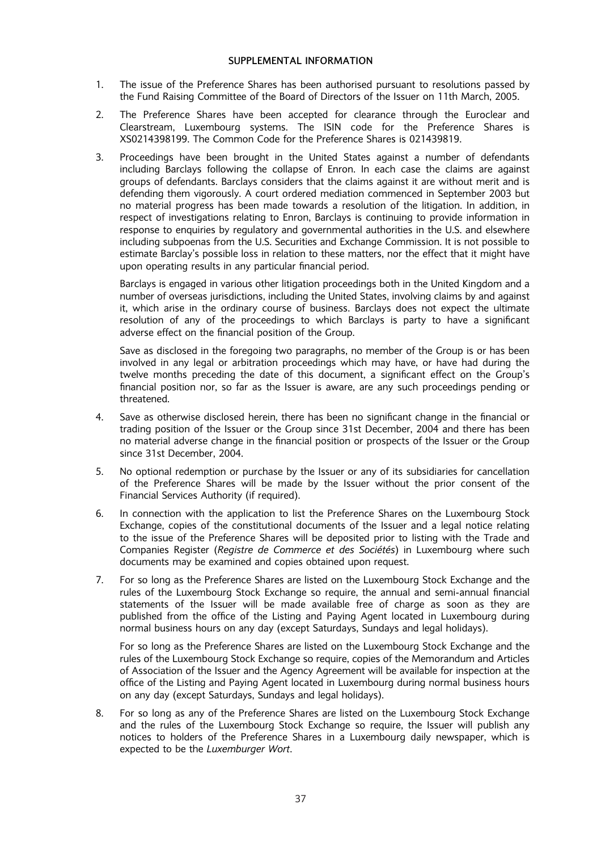## SUPPLEMENTAL INFORMATION

- 1. The issue of the Preference Shares has been authorised pursuant to resolutions passed by the Fund Raising Committee of the Board of Directors of the Issuer on 11th March, 2005.
- 2. The Preference Shares have been accepted for clearance through the Euroclear and Clearstream, Luxembourg systems. The ISIN code for the Preference Shares is XS0214398199. The Common Code for the Preference Shares is 021439819.
- 3. Proceedings have been brought in the United States against a number of defendants including Barclays following the collapse of Enron. In each case the claims are against groups of defendants. Barclays considers that the claims against it are without merit and is defending them vigorously. A court ordered mediation commenced in September 2003 but no material progress has been made towards a resolution of the litigation. In addition, in respect of investigations relating to Enron, Barclays is continuing to provide information in response to enquiries by regulatory and governmental authorities in the U.S. and elsewhere including subpoenas from the U.S. Securities and Exchange Commission. It is not possible to estimate Barclay's possible loss in relation to these matters, nor the effect that it might have upon operating results in any particular financial period.

Barclays is engaged in various other litigation proceedings both in the United Kingdom and a number of overseas jurisdictions, including the United States, involving claims by and against it, which arise in the ordinary course of business. Barclays does not expect the ultimate resolution of any of the proceedings to which Barclays is party to have a significant adverse effect on the financial position of the Group.

Save as disclosed in the foregoing two paragraphs, no member of the Group is or has been involved in any legal or arbitration proceedings which may have, or have had during the twelve months preceding the date of this document, a significant effect on the Group's financial position nor, so far as the Issuer is aware, are any such proceedings pending or threatened.

- 4. Save as otherwise disclosed herein, there has been no significant change in the financial or trading position of the Issuer or the Group since 31st December, 2004 and there has been no material adverse change in the financial position or prospects of the Issuer or the Group since 31st December, 2004.
- 5. No optional redemption or purchase by the Issuer or any of its subsidiaries for cancellation of the Preference Shares will be made by the Issuer without the prior consent of the Financial Services Authority (if required).
- 6. In connection with the application to list the Preference Shares on the Luxembourg Stock Exchange, copies of the constitutional documents of the Issuer and a legal notice relating to the issue of the Preference Shares will be deposited prior to listing with the Trade and Companies Register (Registre de Commerce et des Sociétés) in Luxembourg where such documents may be examined and copies obtained upon request.
- 7. For so long as the Preference Shares are listed on the Luxembourg Stock Exchange and the rules of the Luxembourg Stock Exchange so require, the annual and semi-annual financial statements of the Issuer will be made available free of charge as soon as they are published from the office of the Listing and Paying Agent located in Luxembourg during normal business hours on any day (except Saturdays, Sundays and legal holidays).

For so long as the Preference Shares are listed on the Luxembourg Stock Exchange and the rules of the Luxembourg Stock Exchange so require, copies of the Memorandum and Articles of Association of the Issuer and the Agency Agreement will be available for inspection at the office of the Listing and Paying Agent located in Luxembourg during normal business hours on any day (except Saturdays, Sundays and legal holidays).

8. For so long as any of the Preference Shares are listed on the Luxembourg Stock Exchange and the rules of the Luxembourg Stock Exchange so require, the Issuer will publish any notices to holders of the Preference Shares in a Luxembourg daily newspaper, which is expected to be the Luxemburger Wort.